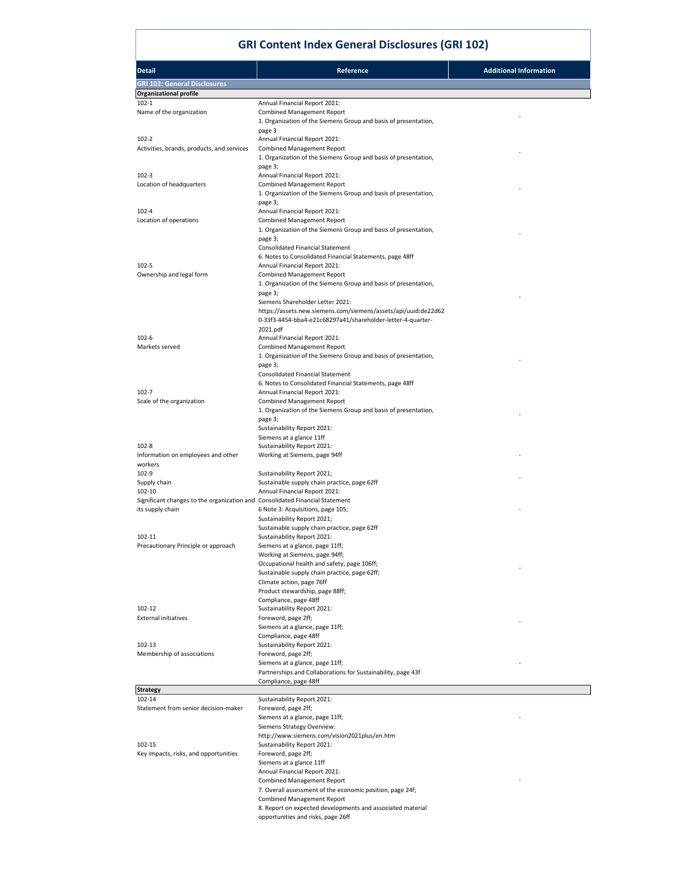## GRI Content Index General Disclosures (GRI 102)

| <b>Detail</b>                                                                | Reference                                                                                                                     | <b>Additional Information</b> |
|------------------------------------------------------------------------------|-------------------------------------------------------------------------------------------------------------------------------|-------------------------------|
| <b>GRI 102: General Disclosures</b>                                          |                                                                                                                               |                               |
| <b>Organizational profile</b>                                                |                                                                                                                               |                               |
| $102 - 1$                                                                    | Annual Financial Report 2021:                                                                                                 |                               |
| Name of the organization                                                     | <b>Combined Management Report</b>                                                                                             |                               |
|                                                                              | 1. Organization of the Siemens Group and basis of presentation,                                                               |                               |
| $102 - 2$                                                                    | page 3<br>Annual Financial Report 2021:                                                                                       |                               |
| Activities, brands, products, and services                                   | <b>Combined Management Report</b>                                                                                             |                               |
|                                                                              | 1. Organization of the Siemens Group and basis of presentation,                                                               |                               |
| 102-3                                                                        | page 3;<br>Annual Financial Report 2021:                                                                                      |                               |
| Location of headquarters                                                     | <b>Combined Management Report</b>                                                                                             |                               |
|                                                                              | 1. Organization of the Siemens Group and basis of presentation,                                                               |                               |
|                                                                              | page 3;                                                                                                                       |                               |
| 102-4<br>Location of operations                                              | Annual Financial Report 2021:<br><b>Combined Management Report</b>                                                            |                               |
|                                                                              | 1. Organization of the Siemens Group and basis of presentation,                                                               |                               |
|                                                                              | page 3;                                                                                                                       |                               |
|                                                                              | <b>Consolidated Financial Statement</b>                                                                                       |                               |
| $102 - 5$                                                                    | 6. Notes to Consolidated Financial Statements, page 48ff<br>Annual Financial Report 2021:                                     |                               |
| Ownership and legal form                                                     | <b>Combined Management Report</b>                                                                                             |                               |
|                                                                              | 1. Organization of the Siemens Group and basis of presentation,                                                               |                               |
|                                                                              | page 3;                                                                                                                       |                               |
|                                                                              | Siemens Shareholder Letter 2021:                                                                                              |                               |
|                                                                              | https://assets.new.siemens.com/siemens/assets/api/uuid:de22d62<br>0-33f3-4454-bba4-e21c68297a41/shareholder-letter-4-quarter- |                               |
|                                                                              | 2021.pdf                                                                                                                      |                               |
| $102 - 6$                                                                    | Annual Financial Report 2021:                                                                                                 |                               |
| Markets served                                                               | <b>Combined Management Report</b><br>1. Organization of the Siemens Group and basis of presentation,                          |                               |
|                                                                              | page 3;                                                                                                                       |                               |
|                                                                              | <b>Consolidated Financial Statement</b>                                                                                       |                               |
|                                                                              | 6. Notes to Consolidated Financial Statements, page 48ff                                                                      |                               |
| 102-7                                                                        | Annual Financial Report 2021:<br><b>Combined Management Report</b>                                                            |                               |
| Scale of the organization                                                    | 1. Organization of the Siemens Group and basis of presentation,                                                               |                               |
|                                                                              | page 3;                                                                                                                       |                               |
|                                                                              | Sustainability Report 2021:                                                                                                   |                               |
| $102 - 8$                                                                    | Siemens at a glance 11ff<br>Sustainability Report 2021:                                                                       |                               |
| Information on employees and other                                           | Working at Siemens, page 94ff                                                                                                 |                               |
| workers                                                                      |                                                                                                                               |                               |
| 102-9                                                                        | Sustainability Report 2021;                                                                                                   |                               |
| Supply chain<br>102-10                                                       | Sustainable supply chain practice, page 62ff<br>Annual Financial Report 2021:                                                 |                               |
| Significant changes to the organization and Consolidated Financial Statement |                                                                                                                               |                               |
| its supply chain                                                             | 6 Note 3: Acquisitions, page 105;                                                                                             |                               |
|                                                                              | Sustainability Report 2021;                                                                                                   |                               |
| 102-11                                                                       | Sustainable supply chain practice, page 62ff<br>Sustainability Report 2021:                                                   |                               |
| Precautionary Principle or approach                                          | Siemens at a glance, page 11ff;                                                                                               |                               |
|                                                                              | Working at Siemens, page 94ff;                                                                                                |                               |
|                                                                              | Occupational health and safety, page 106ff;                                                                                   |                               |
|                                                                              | Sustainable supply chain practice, page 62ff;<br>Climate action, page 76ff                                                    |                               |
|                                                                              | Product stewardship, page 88ff;                                                                                               |                               |
|                                                                              | Compliance, page 48ff                                                                                                         |                               |
| 102-12                                                                       | Sustainability Report 2021:                                                                                                   |                               |
| <b>External initiatives</b>                                                  | Foreword, page 2ff;<br>Siemens at a glance, page 11ff;                                                                        |                               |
|                                                                              | Compliance, page 48ff                                                                                                         |                               |
| 102-13                                                                       | Sustainability Report 2021:                                                                                                   |                               |
| Membership of associations                                                   | Foreword, page 2ff;                                                                                                           |                               |
|                                                                              | Siemens at a glance, page 11ff;<br>Partnerships and Collaborations for Sustainability, page 43f                               |                               |
|                                                                              | Compliance, page 48ff                                                                                                         |                               |
| <b>Strategy</b>                                                              |                                                                                                                               |                               |
| 102-14                                                                       | Sustainability Report 2021:                                                                                                   |                               |
| Statement from senior decision-maker                                         | Foreword, page 2ff;<br>Siemens at a glance, page 11ff;                                                                        |                               |
|                                                                              | Siemens Strategy Overview:                                                                                                    |                               |
|                                                                              | http://www.siemens.com/vision2021plus/en.htm                                                                                  |                               |
| 102-15                                                                       | Sustainability Report 2021:                                                                                                   |                               |
| Key impacts, risks, and opportunities                                        | Foreword, page 2ff;<br>Siemens at a glance 11ff                                                                               |                               |
|                                                                              | Annual Financial Report 2021:                                                                                                 |                               |
|                                                                              | <b>Combined Management Report</b>                                                                                             |                               |
|                                                                              | 7. Overall assessment of the economic position, page 24f;                                                                     |                               |
|                                                                              | <b>Combined Management Report</b>                                                                                             |                               |
|                                                                              | 8. Report on expected developments and associated material<br>opportunities and risks, page 26ff                              |                               |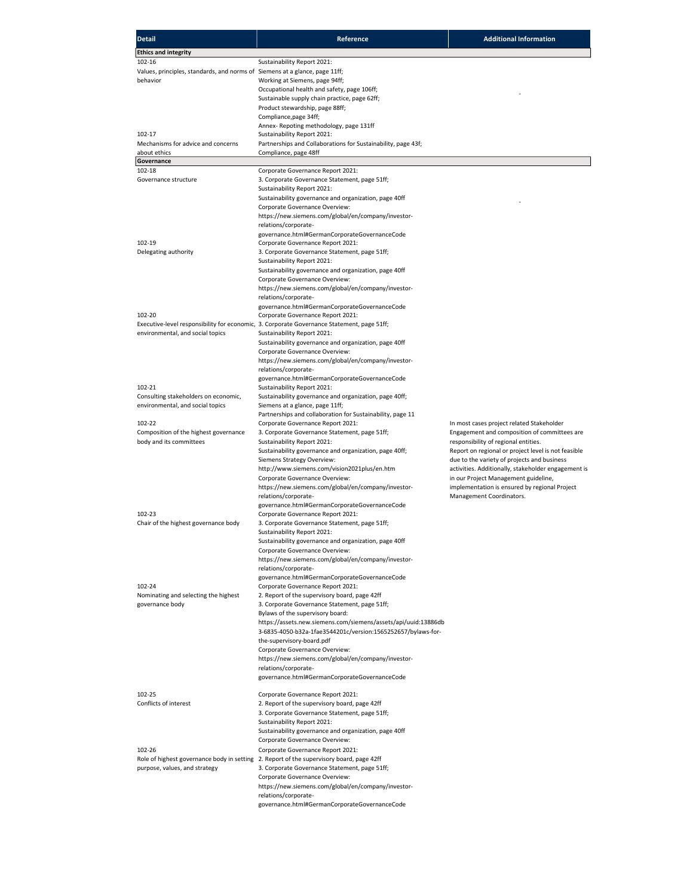| <b>Detail</b>                                                               | Reference                                                                                  | <b>Additional Information</b>                       |
|-----------------------------------------------------------------------------|--------------------------------------------------------------------------------------------|-----------------------------------------------------|
| <b>Ethics and integrity</b>                                                 |                                                                                            |                                                     |
| 102-16                                                                      | Sustainability Report 2021:                                                                |                                                     |
| Values, principles, standards, and norms of Siemens at a glance, page 11ff; |                                                                                            |                                                     |
| behavior                                                                    | Working at Siemens, page 94ff;                                                             |                                                     |
|                                                                             | Occupational health and safety, page 106ff;                                                |                                                     |
|                                                                             | Sustainable supply chain practice, page 62ff;                                              |                                                     |
|                                                                             | Product stewardship, page 88ff;                                                            |                                                     |
|                                                                             | Compliance, page 34ff;                                                                     |                                                     |
|                                                                             | Annex-Repoting methodology, page 131ff                                                     |                                                     |
| 102-17                                                                      | Sustainability Report 2021:                                                                |                                                     |
| Mechanisms for advice and concerns                                          | Partnerships and Collaborations for Sustainability, page 43f;                              |                                                     |
| about ethics                                                                | Compliance, page 48ff                                                                      |                                                     |
| Governance                                                                  |                                                                                            |                                                     |
| 102-18                                                                      | Corporate Governance Report 2021:                                                          |                                                     |
| Governance structure                                                        | 3. Corporate Governance Statement, page 51ff;                                              |                                                     |
|                                                                             | Sustainability Report 2021:                                                                |                                                     |
|                                                                             | Sustainability governance and organization, page 40ff                                      |                                                     |
|                                                                             | Corporate Governance Overview:                                                             |                                                     |
|                                                                             | https://new.siemens.com/global/en/company/investor-                                        |                                                     |
|                                                                             | relations/corporate-                                                                       |                                                     |
|                                                                             | governance.html#GermanCorporateGovernanceCode                                              |                                                     |
| 102-19                                                                      | Corporate Governance Report 2021:                                                          |                                                     |
| Delegating authority                                                        | 3. Corporate Governance Statement, page 51ff;                                              |                                                     |
|                                                                             | Sustainability Report 2021:                                                                |                                                     |
|                                                                             | Sustainability governance and organization, page 40ff                                      |                                                     |
|                                                                             | Corporate Governance Overview:                                                             |                                                     |
|                                                                             | https://new.siemens.com/global/en/company/investor-                                        |                                                     |
|                                                                             | relations/corporate-                                                                       |                                                     |
|                                                                             | governance.html#GermanCorporateGovernanceCode                                              |                                                     |
| 102-20                                                                      | Corporate Governance Report 2021:                                                          |                                                     |
|                                                                             | Executive-level responsibility for economic, 3. Corporate Governance Statement, page 51ff; |                                                     |
| environmental, and social topics                                            | Sustainability Report 2021:                                                                |                                                     |
|                                                                             | Sustainability governance and organization, page 40ff                                      |                                                     |
|                                                                             | Corporate Governance Overview:                                                             |                                                     |
|                                                                             | https://new.siemens.com/global/en/company/investor-                                        |                                                     |
|                                                                             | relations/corporate-                                                                       |                                                     |
|                                                                             | governance.html#GermanCorporateGovernanceCode                                              |                                                     |
| 102-21                                                                      | Sustainability Report 2021:                                                                |                                                     |
| Consulting stakeholders on economic,                                        | Sustainability governance and organization, page 40ff;                                     |                                                     |
| environmental, and social topics                                            | Siemens at a glance, page 11ff;                                                            |                                                     |
|                                                                             | Partnerships and collaboration for Sustainability, page 11                                 |                                                     |
| 102-22                                                                      | Corporate Governance Report 2021:                                                          | In most cases project related Stakeholder           |
| Composition of the highest governance                                       | 3. Corporate Governance Statement, page 51ff;                                              | Engagement and composition of committees are        |
| body and its committees                                                     | Sustainability Report 2021:                                                                | responsibility of regional entities.                |
|                                                                             | Sustainability governance and organization, page 40ff;                                     | Report on regional or project level is not feasible |
|                                                                             | Siemens Strategy Overview:                                                                 | due to the variety of projects and business         |
|                                                                             | http://www.siemens.com/vision2021plus/en.htm                                               | activities. Additionally, stakeholder engagement is |
|                                                                             | Corporate Governance Overview:                                                             | in our Project Management guideline,                |
|                                                                             | https://new.siemens.com/global/en/company/investor-                                        | implementation is ensured by regional Project       |
|                                                                             | relations/corporate-<br>governance.html#GermanCorporateGovernanceCode                      | Management Coordinators.                            |
| 102-23                                                                      | Corporate Governance Report 2021:                                                          |                                                     |
| Chair of the highest governance body                                        | 3. Corporate Governance Statement, page 51ff;                                              |                                                     |
|                                                                             | Sustainability Report 2021:                                                                |                                                     |
|                                                                             |                                                                                            |                                                     |
|                                                                             | Sustainability governance and organization, page 40ff<br>Corporate Governance Overview:    |                                                     |
|                                                                             | https://new.siemens.com/global/en/company/investor-                                        |                                                     |
|                                                                             | relations/corporate-                                                                       |                                                     |
|                                                                             | governance.html#GermanCorporateGovernanceCode                                              |                                                     |
| 102-24                                                                      | Corporate Governance Report 2021:                                                          |                                                     |
| Nominating and selecting the highest                                        | 2. Report of the supervisory board, page 42ff                                              |                                                     |
| governance body                                                             | 3. Corporate Governance Statement, page 51ff;                                              |                                                     |
|                                                                             | Bylaws of the supervisory board:                                                           |                                                     |
|                                                                             | https://assets.new.siemens.com/siemens/assets/api/uuid:13886db                             |                                                     |
|                                                                             | 3-6835-4050-b32a-1fae3544201c/version:1565252657/bylaws-for-                               |                                                     |
|                                                                             | the-supervisory-board.pdf                                                                  |                                                     |
|                                                                             | Corporate Governance Overview:                                                             |                                                     |
|                                                                             | https://new.siemens.com/global/en/company/investor-                                        |                                                     |
|                                                                             | relations/corporate-                                                                       |                                                     |
|                                                                             | governance.html#GermanCorporateGovernanceCode                                              |                                                     |
|                                                                             |                                                                                            |                                                     |
| 102-25                                                                      | Corporate Governance Report 2021:                                                          |                                                     |
| Conflicts of interest                                                       | 2. Report of the supervisory board, page 42ff                                              |                                                     |
|                                                                             | 3. Corporate Governance Statement, page 51ff;                                              |                                                     |
|                                                                             | Sustainability Report 2021:                                                                |                                                     |
|                                                                             | Sustainability governance and organization, page 40ff                                      |                                                     |
|                                                                             | Corporate Governance Overview:                                                             |                                                     |
| 102-26                                                                      | Corporate Governance Report 2021:                                                          |                                                     |
|                                                                             | Role of highest governance body in setting 2. Report of the supervisory board, page 42ff   |                                                     |
| purpose, values, and strategy                                               | 3. Corporate Governance Statement, page 51ff;                                              |                                                     |
|                                                                             | Corporate Governance Overview:                                                             |                                                     |
|                                                                             | https://new.siemens.com/global/en/company/investor-                                        |                                                     |
|                                                                             | relations/corporate-                                                                       |                                                     |
|                                                                             | governance.html#GermanCorporateGovernanceCode                                              |                                                     |
|                                                                             |                                                                                            |                                                     |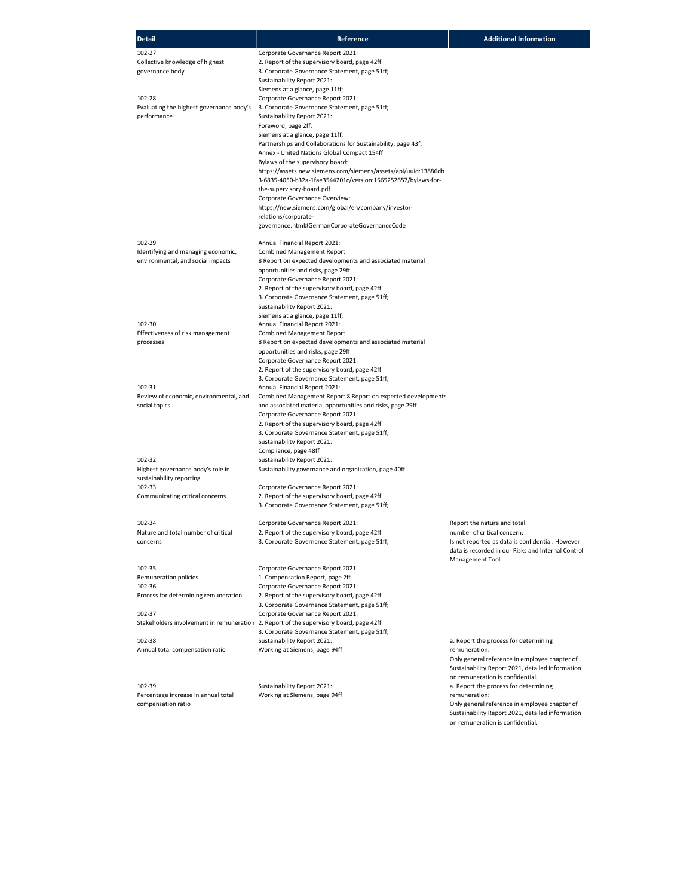| <b>Detail</b>                                   | Reference                                                                                                                      | <b>Additional Information</b>                                                   |
|-------------------------------------------------|--------------------------------------------------------------------------------------------------------------------------------|---------------------------------------------------------------------------------|
| 102-27                                          | Corporate Governance Report 2021:                                                                                              |                                                                                 |
| Collective knowledge of highest                 | 2. Report of the supervisory board, page 42ff                                                                                  |                                                                                 |
| governance body                                 | 3. Corporate Governance Statement, page 51ff;<br>Sustainability Report 2021:                                                   |                                                                                 |
|                                                 | Siemens at a glance, page 11ff;                                                                                                |                                                                                 |
| 102-28                                          | Corporate Governance Report 2021:                                                                                              |                                                                                 |
| Evaluating the highest governance body's        | 3. Corporate Governance Statement, page 51ff;                                                                                  |                                                                                 |
| performance                                     | Sustainability Report 2021:                                                                                                    |                                                                                 |
|                                                 | Foreword, page 2ff;<br>Siemens at a glance, page 11ff;                                                                         |                                                                                 |
|                                                 | Partnerships and Collaborations for Sustainability, page 43f;                                                                  |                                                                                 |
|                                                 | Annex - United Nations Global Compact 154ff                                                                                    |                                                                                 |
|                                                 | Bylaws of the supervisory board:                                                                                               |                                                                                 |
|                                                 | https://assets.new.siemens.com/siemens/assets/api/uuid:13886db<br>3-6835-4050-b32a-1fae3544201c/version:1565252657/bylaws-for- |                                                                                 |
|                                                 | the-supervisory-board.pdf                                                                                                      |                                                                                 |
|                                                 | Corporate Governance Overview:                                                                                                 |                                                                                 |
|                                                 | https://new.siemens.com/global/en/company/investor-                                                                            |                                                                                 |
|                                                 | relations/corporate-                                                                                                           |                                                                                 |
|                                                 | governance.html#GermanCorporateGovernanceCode                                                                                  |                                                                                 |
| 102-29                                          | Annual Financial Report 2021:                                                                                                  |                                                                                 |
| Identifying and managing economic,              | <b>Combined Management Report</b>                                                                                              |                                                                                 |
| environmental, and social impacts               | 8 Report on expected developments and associated material                                                                      |                                                                                 |
|                                                 | opportunities and risks, page 29ff<br>Corporate Governance Report 2021:                                                        |                                                                                 |
|                                                 | 2. Report of the supervisory board, page 42ff                                                                                  |                                                                                 |
|                                                 | 3. Corporate Governance Statement, page 51ff;                                                                                  |                                                                                 |
|                                                 | Sustainability Report 2021:                                                                                                    |                                                                                 |
|                                                 | Siemens at a glance, page 11ff;                                                                                                |                                                                                 |
| 102-30<br>Effectiveness of risk management      | Annual Financial Report 2021:<br><b>Combined Management Report</b>                                                             |                                                                                 |
| processes                                       | 8 Report on expected developments and associated material                                                                      |                                                                                 |
|                                                 | opportunities and risks, page 29ff                                                                                             |                                                                                 |
|                                                 | Corporate Governance Report 2021:                                                                                              |                                                                                 |
|                                                 | 2. Report of the supervisory board, page 42ff                                                                                  |                                                                                 |
| 102-31                                          | 3. Corporate Governance Statement, page 51ff;<br>Annual Financial Report 2021:                                                 |                                                                                 |
| Review of economic, environmental, and          | Combined Management Report 8 Report on expected developments                                                                   |                                                                                 |
| social topics                                   | and associated material opportunities and risks, page 29ff                                                                     |                                                                                 |
|                                                 | Corporate Governance Report 2021:                                                                                              |                                                                                 |
|                                                 | 2. Report of the supervisory board, page 42ff                                                                                  |                                                                                 |
|                                                 | 3. Corporate Governance Statement, page 51ff;<br>Sustainability Report 2021:                                                   |                                                                                 |
|                                                 | Compliance, page 48ff                                                                                                          |                                                                                 |
| 102-32                                          | Sustainability Report 2021:                                                                                                    |                                                                                 |
| Highest governance body's role in               | Sustainability governance and organization, page 40ff                                                                          |                                                                                 |
| sustainability reporting<br>102-33              | Corporate Governance Report 2021:                                                                                              |                                                                                 |
| Communicating critical concerns                 | 2. Report of the supervisory board, page 42ff                                                                                  |                                                                                 |
|                                                 | 3. Corporate Governance Statement, page 51ff;                                                                                  |                                                                                 |
|                                                 |                                                                                                                                |                                                                                 |
| 102-34                                          | Corporate Governance Report 2021:                                                                                              | Report the nature and total                                                     |
| Nature and total number of critical<br>concerns | 2. Report of the supervisory board, page 42ff<br>3. Corporate Governance Statement, page 51ff;                                 | number of critical concern:<br>Is not reported as data is confidential. However |
|                                                 |                                                                                                                                | data is recorded in our Risks and Internal Control                              |
|                                                 |                                                                                                                                | Management Tool.                                                                |
| 102-35                                          | Corporate Governance Report 2021                                                                                               |                                                                                 |
| Remuneration policies                           | 1. Compensation Report, page 2ff                                                                                               |                                                                                 |
| 102-36<br>Process for determining remuneration  | Corporate Governance Report 2021:<br>2. Report of the supervisory board, page 42ff                                             |                                                                                 |
|                                                 | 3. Corporate Governance Statement, page 51ff;                                                                                  |                                                                                 |
| 102-37                                          | Corporate Governance Report 2021:                                                                                              |                                                                                 |
|                                                 | Stakeholders involvement in remuneration 2. Report of the supervisory board, page 42ff                                         |                                                                                 |
| 102-38                                          | 3. Corporate Governance Statement, page 51ff;                                                                                  |                                                                                 |
| Annual total compensation ratio                 | Sustainability Report 2021:<br>Working at Siemens, page 94ff                                                                   | a. Report the process for determining<br>remuneration:                          |
|                                                 |                                                                                                                                | Only general reference in employee chapter of                                   |
|                                                 |                                                                                                                                | Sustainability Report 2021, detailed information                                |
|                                                 |                                                                                                                                | on remuneration is confidential.                                                |
| 102-39<br>Percentage increase in annual total   | Sustainability Report 2021:<br>Working at Siemens, page 94ff                                                                   | a. Report the process for determining<br>remuneration:                          |
| compensation ratio                              |                                                                                                                                | Only general reference in employee chapter of                                   |
|                                                 |                                                                                                                                | Sustainability Report 2021, detailed information                                |

on remuneration is confidential.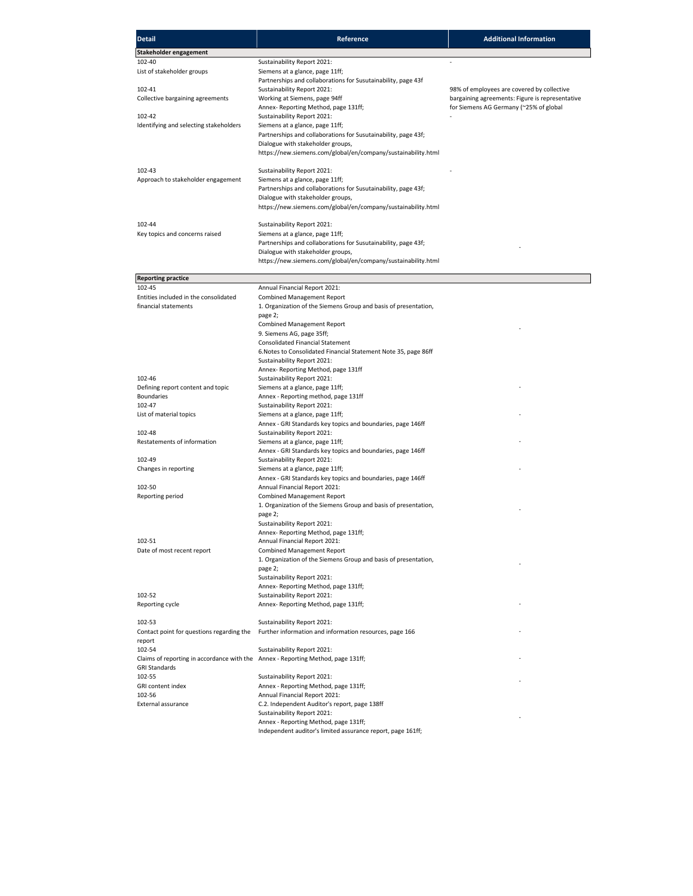| <b>Detail</b>                                                                    | Reference                                                                                                  | <b>Additional Information</b>                                                                 |
|----------------------------------------------------------------------------------|------------------------------------------------------------------------------------------------------------|-----------------------------------------------------------------------------------------------|
| Stakeholder engagement                                                           |                                                                                                            |                                                                                               |
| 102-40                                                                           | Sustainability Report 2021:                                                                                |                                                                                               |
| List of stakeholder groups                                                       | Siemens at a glance, page 11ff;                                                                            |                                                                                               |
|                                                                                  | Partnerships and collaborations for Susutainability, page 43f                                              |                                                                                               |
| 102-41<br>Collective bargaining agreements                                       | Sustainability Report 2021:<br>Working at Siemens, page 94ff                                               | 98% of employees are covered by collective<br>bargaining agreements: Figure is representative |
|                                                                                  | Annex-Reporting Method, page 131ff;                                                                        | for Siemens AG Germany (~25% of global                                                        |
| 102-42                                                                           | Sustainability Report 2021:                                                                                |                                                                                               |
| Identifying and selecting stakeholders                                           | Siemens at a glance, page 11ff;                                                                            |                                                                                               |
|                                                                                  | Partnerships and collaborations for Susutainability, page 43f;                                             |                                                                                               |
|                                                                                  | Dialogue with stakeholder groups,<br>https://new.siemens.com/global/en/company/sustainability.html         |                                                                                               |
|                                                                                  |                                                                                                            |                                                                                               |
| 102-43                                                                           | Sustainability Report 2021:                                                                                |                                                                                               |
| Approach to stakeholder engagement                                               | Siemens at a glance, page 11ff;                                                                            |                                                                                               |
|                                                                                  | Partnerships and collaborations for Susutainability, page 43f;                                             |                                                                                               |
|                                                                                  | Dialogue with stakeholder groups,<br>https://new.siemens.com/global/en/company/sustainability.html         |                                                                                               |
|                                                                                  |                                                                                                            |                                                                                               |
| 102-44                                                                           | Sustainability Report 2021:                                                                                |                                                                                               |
| Key topics and concerns raised                                                   | Siemens at a glance, page 11ff;                                                                            |                                                                                               |
|                                                                                  | Partnerships and collaborations for Susutainability, page 43f;<br>Dialogue with stakeholder groups,        |                                                                                               |
|                                                                                  | https://new.siemens.com/global/en/company/sustainability.html                                              |                                                                                               |
|                                                                                  |                                                                                                            |                                                                                               |
| <b>Reporting practice</b>                                                        |                                                                                                            |                                                                                               |
| 102-45<br>Entities included in the consolidated                                  | Annual Financial Report 2021:                                                                              |                                                                                               |
| financial statements                                                             | <b>Combined Management Report</b><br>1. Organization of the Siemens Group and basis of presentation,       |                                                                                               |
|                                                                                  | page 2;                                                                                                    |                                                                                               |
|                                                                                  | <b>Combined Management Report</b>                                                                          |                                                                                               |
|                                                                                  | 9. Siemens AG, page 35ff;                                                                                  |                                                                                               |
|                                                                                  | <b>Consolidated Financial Statement</b><br>6. Notes to Consolidated Financial Statement Note 35, page 86ff |                                                                                               |
|                                                                                  | Sustainability Report 2021:                                                                                |                                                                                               |
|                                                                                  | Annex-Reporting Method, page 131ff                                                                         |                                                                                               |
| 102-46                                                                           | Sustainability Report 2021:                                                                                |                                                                                               |
| Defining report content and topic<br><b>Boundaries</b>                           | Siemens at a glance, page 11ff;<br>Annex - Reporting method, page 131ff                                    |                                                                                               |
| 102-47                                                                           | Sustainability Report 2021:                                                                                |                                                                                               |
| List of material topics                                                          | Siemens at a glance, page 11ff;                                                                            |                                                                                               |
|                                                                                  | Annex - GRI Standards key topics and boundaries, page 146ff                                                |                                                                                               |
| 102-48                                                                           | Sustainability Report 2021:                                                                                |                                                                                               |
| Restatements of information                                                      | Siemens at a glance, page 11ff;<br>Annex - GRI Standards key topics and boundaries, page 146ff             |                                                                                               |
| 102-49                                                                           | Sustainability Report 2021:                                                                                |                                                                                               |
| Changes in reporting                                                             | Siemens at a glance, page 11ff;                                                                            |                                                                                               |
|                                                                                  | Annex - GRI Standards key topics and boundaries, page 146ff                                                |                                                                                               |
| 102-50<br>Reporting period                                                       | Annual Financial Report 2021:<br><b>Combined Management Report</b>                                         |                                                                                               |
|                                                                                  | 1. Organization of the Siemens Group and basis of presentation,                                            |                                                                                               |
|                                                                                  | page 2;                                                                                                    |                                                                                               |
|                                                                                  | Sustainability Report 2021:                                                                                |                                                                                               |
|                                                                                  | Annex- Reporting Method, page 131ff;                                                                       |                                                                                               |
| 102-51<br>Date of most recent report                                             | Annual Financial Report 2021:<br>Combined Management Report                                                |                                                                                               |
|                                                                                  | 1. Organization of the Siemens Group and basis of presentation,                                            |                                                                                               |
|                                                                                  | page 2;                                                                                                    |                                                                                               |
|                                                                                  | Sustainability Report 2021:                                                                                |                                                                                               |
| 102-52                                                                           | Annex- Reporting Method, page 131ff;<br>Sustainability Report 2021:                                        |                                                                                               |
| Reporting cycle                                                                  | Annex- Reporting Method, page 131ff;                                                                       |                                                                                               |
|                                                                                  |                                                                                                            |                                                                                               |
| 102-53                                                                           | Sustainability Report 2021:                                                                                |                                                                                               |
| Contact point for questions regarding the                                        | Further information and information resources, page 166                                                    |                                                                                               |
| report<br>102-54                                                                 | Sustainability Report 2021:                                                                                |                                                                                               |
| Claims of reporting in accordance with the Annex - Reporting Method, page 131ff; |                                                                                                            |                                                                                               |
| <b>GRI Standards</b>                                                             |                                                                                                            |                                                                                               |
| 102-55                                                                           | Sustainability Report 2021:                                                                                |                                                                                               |
| GRI content index<br>102-56                                                      | Annex - Reporting Method, page 131ff;                                                                      |                                                                                               |
| External assurance                                                               | Annual Financial Report 2021:<br>C.2. Independent Auditor's report, page 138ff                             |                                                                                               |
|                                                                                  | Sustainability Report 2021:                                                                                |                                                                                               |
|                                                                                  | Annex - Reporting Method, page 131ff;                                                                      |                                                                                               |
|                                                                                  | Independent auditor's limited assurance report, page 161ff;                                                |                                                                                               |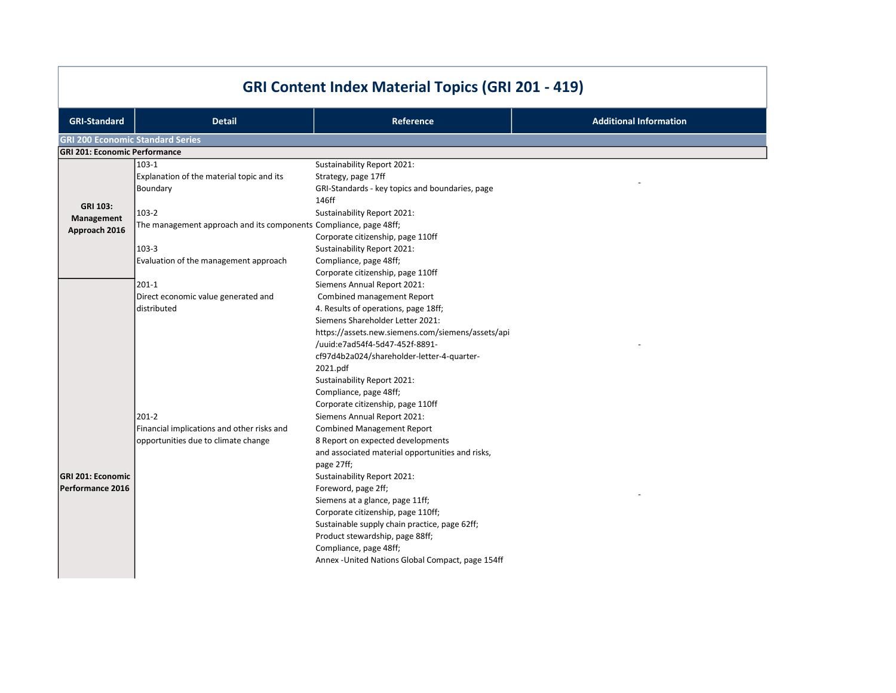| <b>GRI Content Index Material Topics (GRI 201 - 419)</b> |                                                                   |                                                   |                               |
|----------------------------------------------------------|-------------------------------------------------------------------|---------------------------------------------------|-------------------------------|
| <b>GRI-Standard</b>                                      | <b>Detail</b>                                                     | <b>Reference</b>                                  | <b>Additional Information</b> |
| <b>GRI 200 Economic Standard Series</b>                  |                                                                   |                                                   |                               |
| <b>GRI 201: Economic Performance</b>                     |                                                                   |                                                   |                               |
|                                                          | $103-1$                                                           | Sustainability Report 2021:                       |                               |
|                                                          | Explanation of the material topic and its                         | Strategy, page 17ff                               |                               |
|                                                          | Boundary                                                          | GRI-Standards - key topics and boundaries, page   |                               |
| GRI 103:                                                 |                                                                   | 146ff                                             |                               |
| Management                                               | $103-2$                                                           | Sustainability Report 2021:                       |                               |
| Approach 2016                                            | The management approach and its components Compliance, page 48ff; |                                                   |                               |
|                                                          |                                                                   | Corporate citizenship, page 110ff                 |                               |
|                                                          | 103-3                                                             | Sustainability Report 2021:                       |                               |
|                                                          | Evaluation of the management approach                             | Compliance, page 48ff;                            |                               |
|                                                          |                                                                   | Corporate citizenship, page 110ff                 |                               |
|                                                          | $201-1$                                                           | Siemens Annual Report 2021:                       |                               |
|                                                          | Direct economic value generated and                               | Combined management Report                        |                               |
|                                                          | distributed                                                       | 4. Results of operations, page 18ff;              |                               |
|                                                          |                                                                   | Siemens Shareholder Letter 2021:                  |                               |
|                                                          |                                                                   | https://assets.new.siemens.com/siemens/assets/api |                               |
|                                                          |                                                                   | /uuid:e7ad54f4-5d47-452f-8891-                    |                               |
|                                                          |                                                                   | cf97d4b2a024/shareholder-letter-4-quarter-        |                               |
|                                                          |                                                                   | 2021.pdf                                          |                               |
|                                                          |                                                                   | Sustainability Report 2021:                       |                               |
|                                                          |                                                                   | Compliance, page 48ff;                            |                               |
|                                                          |                                                                   | Corporate citizenship, page 110ff                 |                               |
|                                                          | $201 - 2$                                                         | Siemens Annual Report 2021:                       |                               |
|                                                          | Financial implications and other risks and                        | <b>Combined Management Report</b>                 |                               |
|                                                          | opportunities due to climate change                               | 8 Report on expected developments                 |                               |
|                                                          |                                                                   | and associated material opportunities and risks,  |                               |
|                                                          |                                                                   | page 27ff;                                        |                               |
| <b>GRI 201: Economic</b>                                 |                                                                   | Sustainability Report 2021:                       |                               |
| Performance 2016                                         |                                                                   | Foreword, page 2ff;                               |                               |
|                                                          |                                                                   | Siemens at a glance, page 11ff;                   |                               |
|                                                          |                                                                   | Corporate citizenship, page 110ff;                |                               |
|                                                          |                                                                   | Sustainable supply chain practice, page 62ff;     |                               |
|                                                          |                                                                   | Product stewardship, page 88ff;                   |                               |
|                                                          |                                                                   | Compliance, page 48ff;                            |                               |
|                                                          |                                                                   | Annex - United Nations Global Compact, page 154ff |                               |
|                                                          |                                                                   |                                                   |                               |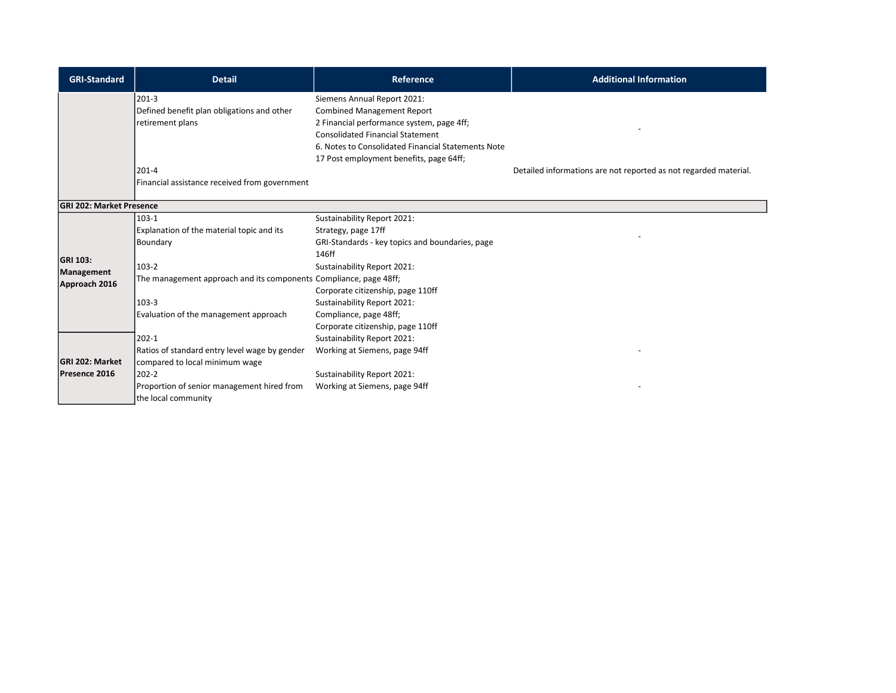| <b>GRI-Standard</b>             | <b>Detail</b>                                                     | <b>Reference</b>                                   | <b>Additional Information</b>                                    |
|---------------------------------|-------------------------------------------------------------------|----------------------------------------------------|------------------------------------------------------------------|
|                                 | $201-3$                                                           | Siemens Annual Report 2021:                        |                                                                  |
|                                 | Defined benefit plan obligations and other                        | <b>Combined Management Report</b>                  |                                                                  |
|                                 | retirement plans                                                  | 2 Financial performance system, page 4ff;          |                                                                  |
|                                 |                                                                   | <b>Consolidated Financial Statement</b>            |                                                                  |
|                                 |                                                                   | 6. Notes to Consolidated Financial Statements Note |                                                                  |
|                                 |                                                                   | 17 Post employment benefits, page 64ff;            |                                                                  |
|                                 | $201 - 4$<br>Financial assistance received from government        |                                                    | Detailed informations are not reported as not regarded material. |
|                                 |                                                                   |                                                    |                                                                  |
| <b>GRI 202: Market Presence</b> |                                                                   |                                                    |                                                                  |
|                                 | $103-1$                                                           | Sustainability Report 2021:                        |                                                                  |
|                                 | Explanation of the material topic and its                         | Strategy, page 17ff                                |                                                                  |
|                                 | Boundary                                                          | GRI-Standards - key topics and boundaries, page    |                                                                  |
| <b>GRI 103:</b>                 |                                                                   | 146ff                                              |                                                                  |
| Management                      | 103-2                                                             | Sustainability Report 2021:                        |                                                                  |
| Approach 2016                   | The management approach and its components Compliance, page 48ff; |                                                    |                                                                  |
|                                 |                                                                   | Corporate citizenship, page 110ff                  |                                                                  |
|                                 | 103-3                                                             | Sustainability Report 2021:                        |                                                                  |
|                                 | Evaluation of the management approach                             | Compliance, page 48ff;                             |                                                                  |
|                                 |                                                                   | Corporate citizenship, page 110ff                  |                                                                  |
|                                 | $202 - 1$                                                         | Sustainability Report 2021:                        |                                                                  |
|                                 | Ratios of standard entry level wage by gender                     | Working at Siemens, page 94ff                      |                                                                  |
| <b>GRI 202: Market</b>          | compared to local minimum wage                                    |                                                    |                                                                  |
| Presence 2016                   | $202 - 2$                                                         | Sustainability Report 2021:                        |                                                                  |
|                                 | Proportion of senior management hired from                        | Working at Siemens, page 94ff                      |                                                                  |
|                                 | the local community                                               |                                                    |                                                                  |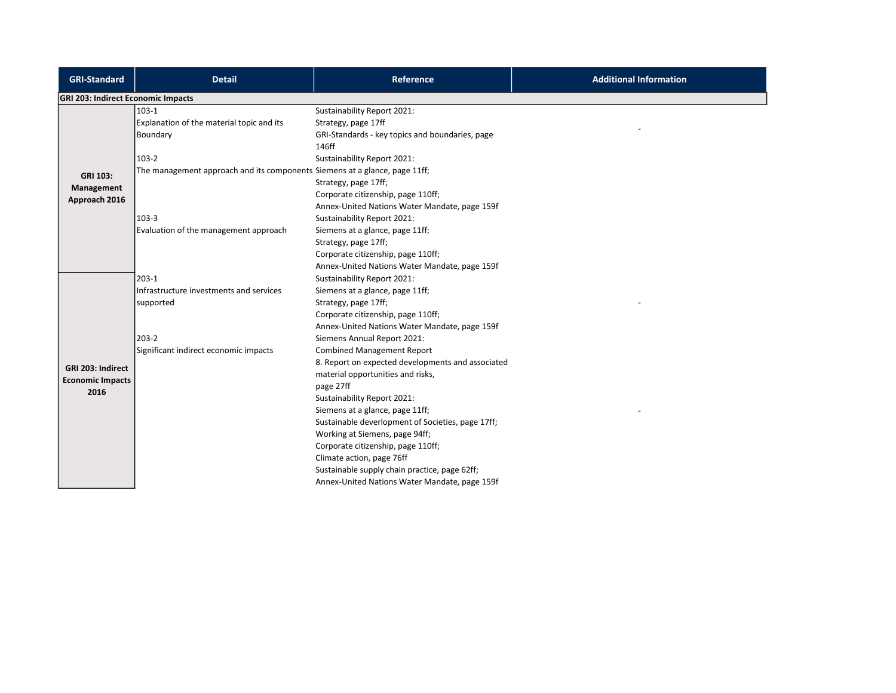| <b>GRI-Standard</b>                       | <b>Detail</b>                                                              | <b>Reference</b>                                  | <b>Additional Information</b> |
|-------------------------------------------|----------------------------------------------------------------------------|---------------------------------------------------|-------------------------------|
| <b>GRI 203: Indirect Economic Impacts</b> |                                                                            |                                                   |                               |
|                                           | $103-1$                                                                    | Sustainability Report 2021:                       |                               |
|                                           | Explanation of the material topic and its                                  | Strategy, page 17ff                               |                               |
|                                           | Boundary                                                                   | GRI-Standards - key topics and boundaries, page   |                               |
|                                           |                                                                            | 146ff                                             |                               |
|                                           | 103-2                                                                      | Sustainability Report 2021:                       |                               |
| <b>GRI 103:</b>                           | The management approach and its components Siemens at a glance, page 11ff; |                                                   |                               |
| Management                                |                                                                            | Strategy, page 17ff;                              |                               |
| Approach 2016                             |                                                                            | Corporate citizenship, page 110ff;                |                               |
|                                           |                                                                            | Annex-United Nations Water Mandate, page 159f     |                               |
|                                           | 103-3                                                                      | Sustainability Report 2021:                       |                               |
|                                           | Evaluation of the management approach                                      | Siemens at a glance, page 11ff;                   |                               |
|                                           |                                                                            | Strategy, page 17ff;                              |                               |
|                                           |                                                                            | Corporate citizenship, page 110ff;                |                               |
|                                           |                                                                            | Annex-United Nations Water Mandate, page 159f     |                               |
|                                           | $203-1$                                                                    | Sustainability Report 2021:                       |                               |
|                                           | Infrastructure investments and services                                    | Siemens at a glance, page 11ff;                   |                               |
|                                           | supported                                                                  | Strategy, page 17ff;                              |                               |
|                                           |                                                                            | Corporate citizenship, page 110ff;                |                               |
|                                           |                                                                            | Annex-United Nations Water Mandate, page 159f     |                               |
|                                           | 203-2                                                                      | Siemens Annual Report 2021:                       |                               |
|                                           | Significant indirect economic impacts                                      | <b>Combined Management Report</b>                 |                               |
| GRI 203: Indirect                         |                                                                            | 8. Report on expected developments and associated |                               |
| <b>Economic Impacts</b>                   |                                                                            | material opportunities and risks,                 |                               |
| 2016                                      |                                                                            | page 27ff                                         |                               |
|                                           |                                                                            | Sustainability Report 2021:                       |                               |
|                                           |                                                                            | Siemens at a glance, page 11ff;                   |                               |
|                                           |                                                                            | Sustainable deverlopment of Societies, page 17ff; |                               |
|                                           |                                                                            | Working at Siemens, page 94ff;                    |                               |
|                                           |                                                                            | Corporate citizenship, page 110ff;                |                               |
|                                           |                                                                            | Climate action, page 76ff                         |                               |
|                                           |                                                                            | Sustainable supply chain practice, page 62ff;     |                               |
|                                           |                                                                            | Annex-United Nations Water Mandate, page 159f     |                               |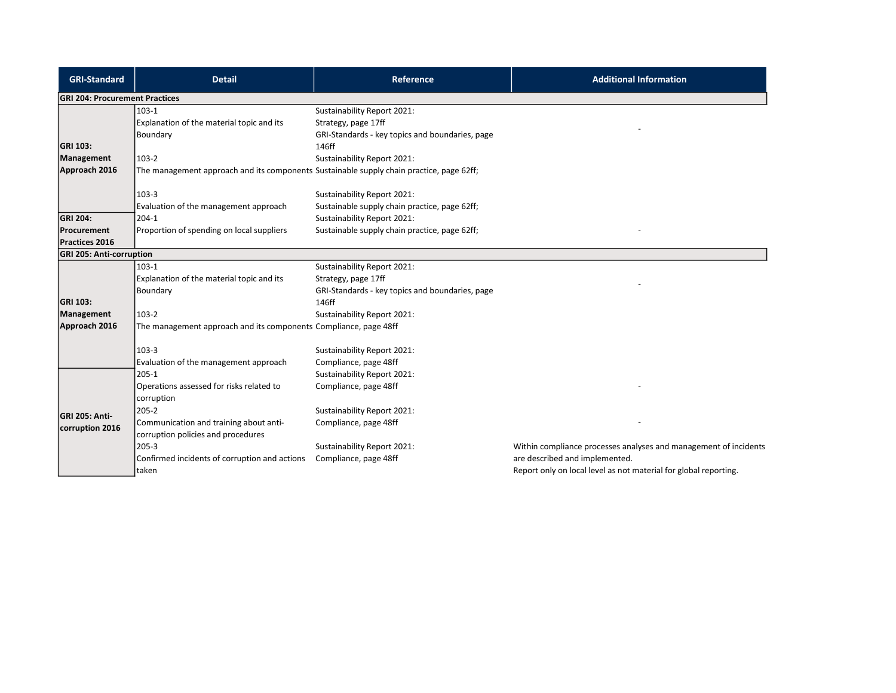| <b>GRI-Standard</b>                   | <b>Detail</b>                                                                            | <b>Reference</b>                                | <b>Additional Information</b>                                    |
|---------------------------------------|------------------------------------------------------------------------------------------|-------------------------------------------------|------------------------------------------------------------------|
| <b>GRI 204: Procurement Practices</b> |                                                                                          |                                                 |                                                                  |
|                                       | $103-1$                                                                                  | Sustainability Report 2021:                     |                                                                  |
|                                       | Explanation of the material topic and its                                                | Strategy, page 17ff                             |                                                                  |
|                                       | Boundary                                                                                 | GRI-Standards - key topics and boundaries, page |                                                                  |
| <b>GRI 103:</b>                       |                                                                                          | 146ff                                           |                                                                  |
| Management                            | 103-2                                                                                    | Sustainability Report 2021:                     |                                                                  |
| Approach 2016                         | The management approach and its components Sustainable supply chain practice, page 62ff; |                                                 |                                                                  |
|                                       | 103-3                                                                                    | Sustainability Report 2021:                     |                                                                  |
|                                       | Evaluation of the management approach                                                    | Sustainable supply chain practice, page 62ff;   |                                                                  |
| <b>GRI 204:</b>                       | $204-1$                                                                                  | Sustainability Report 2021:                     |                                                                  |
| Procurement                           | Proportion of spending on local suppliers                                                | Sustainable supply chain practice, page 62ff;   |                                                                  |
| Practices 2016                        |                                                                                          |                                                 |                                                                  |
| <b>GRI 205: Anti-corruption</b>       |                                                                                          |                                                 |                                                                  |
|                                       | 103-1                                                                                    | Sustainability Report 2021:                     |                                                                  |
|                                       | Explanation of the material topic and its                                                | Strategy, page 17ff                             |                                                                  |
|                                       | Boundary                                                                                 | GRI-Standards - key topics and boundaries, page |                                                                  |
| <b>GRI 103:</b>                       |                                                                                          | 146ff                                           |                                                                  |
| Management                            | 103-2                                                                                    | Sustainability Report 2021:                     |                                                                  |
| Approach 2016                         | The management approach and its components Compliance, page 48ff                         |                                                 |                                                                  |
|                                       | 103-3                                                                                    | Sustainability Report 2021:                     |                                                                  |
|                                       | Evaluation of the management approach                                                    | Compliance, page 48ff                           |                                                                  |
|                                       | 205-1                                                                                    | Sustainability Report 2021:                     |                                                                  |
|                                       | Operations assessed for risks related to                                                 | Compliance, page 48ff                           |                                                                  |
|                                       | corruption                                                                               |                                                 |                                                                  |
| GRI 205: Anti-                        | $205 - 2$                                                                                | Sustainability Report 2021:                     |                                                                  |
| corruption 2016                       | Communication and training about anti-                                                   | Compliance, page 48ff                           |                                                                  |
|                                       | corruption policies and procedures                                                       |                                                 |                                                                  |
|                                       | 205-3                                                                                    | Sustainability Report 2021:                     | Within compliance processes analyses and management of incidents |
|                                       | Confirmed incidents of corruption and actions                                            | Compliance, page 48ff                           | are described and implemented.                                   |
|                                       | taken                                                                                    |                                                 | Report only on local level as not material for global reporting. |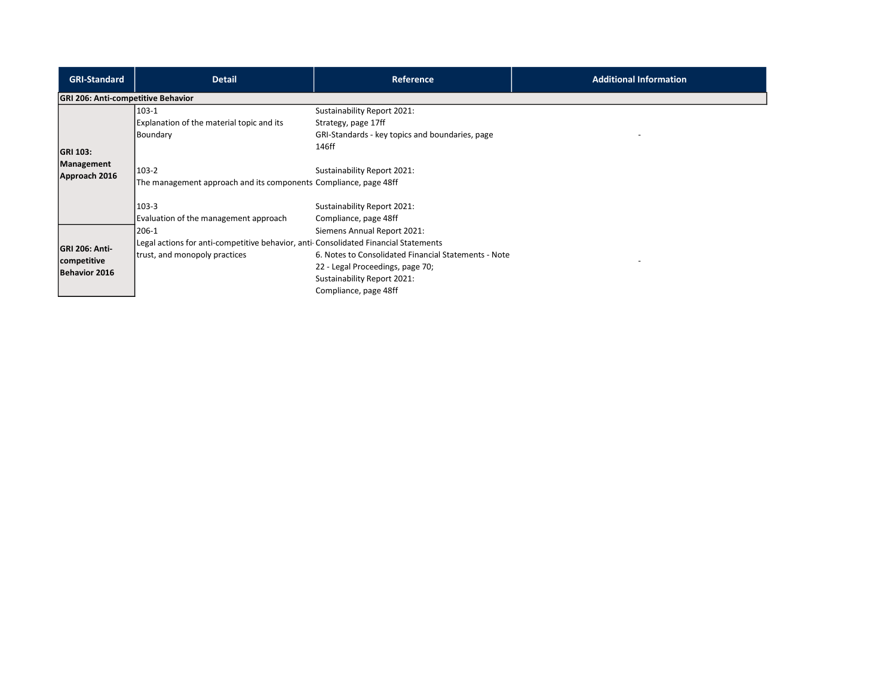| <b>GRI-Standard</b>                                   | <b>Detail</b>                                                                                                                 | Reference                                                                                                                                                                       | <b>Additional Information</b> |
|-------------------------------------------------------|-------------------------------------------------------------------------------------------------------------------------------|---------------------------------------------------------------------------------------------------------------------------------------------------------------------------------|-------------------------------|
| <b>GRI 206: Anti-competitive Behavior</b>             |                                                                                                                               |                                                                                                                                                                                 |                               |
| <b>GRI 103:</b>                                       | 103-1<br>Explanation of the material topic and its<br>Boundary                                                                | Sustainability Report 2021:<br>Strategy, page 17ff<br>GRI-Standards - key topics and boundaries, page<br>146ff                                                                  |                               |
| Management<br>Approach 2016                           | 103-2<br>The management approach and its components Compliance, page 48ff                                                     | Sustainability Report 2021:                                                                                                                                                     |                               |
|                                                       | 103-3<br>Evaluation of the management approach                                                                                | Sustainability Report 2021:<br>Compliance, page 48ff                                                                                                                            |                               |
| <b>GRI 206: Anti-</b><br>competitive<br>Behavior 2016 | 206-1<br>Legal actions for anti-competitive behavior, anti-Consolidated Financial Statements<br>trust, and monopoly practices | Siemens Annual Report 2021:<br>6. Notes to Consolidated Financial Statements - Note<br>22 - Legal Proceedings, page 70;<br>Sustainability Report 2021:<br>Compliance, page 48ff |                               |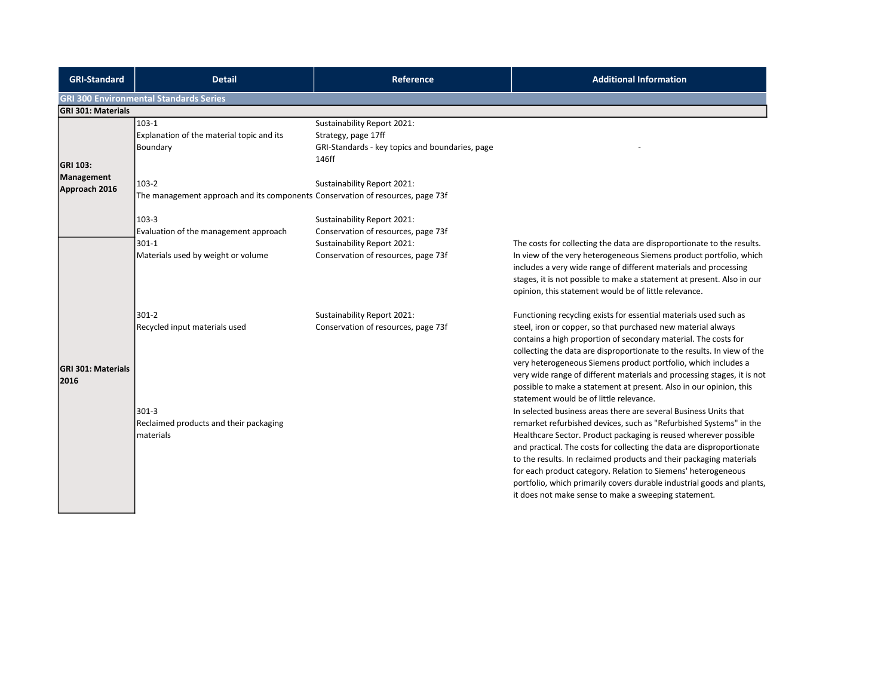| <b>GRI-Standard</b>               | <b>Detail</b>                                                                                     | <b>Reference</b>                                                                                               | <b>Additional Information</b>                                                                                                                                                                                                                                                                                                                                                                                                                                                                                                                                                                                                                                                                                                                                                                                                                                                                                                                                                                                                             |
|-----------------------------------|---------------------------------------------------------------------------------------------------|----------------------------------------------------------------------------------------------------------------|-------------------------------------------------------------------------------------------------------------------------------------------------------------------------------------------------------------------------------------------------------------------------------------------------------------------------------------------------------------------------------------------------------------------------------------------------------------------------------------------------------------------------------------------------------------------------------------------------------------------------------------------------------------------------------------------------------------------------------------------------------------------------------------------------------------------------------------------------------------------------------------------------------------------------------------------------------------------------------------------------------------------------------------------|
|                                   | <b>GRI 300 Environmental Standards Series</b>                                                     |                                                                                                                |                                                                                                                                                                                                                                                                                                                                                                                                                                                                                                                                                                                                                                                                                                                                                                                                                                                                                                                                                                                                                                           |
| <b>GRI 301: Materials</b>         |                                                                                                   |                                                                                                                |                                                                                                                                                                                                                                                                                                                                                                                                                                                                                                                                                                                                                                                                                                                                                                                                                                                                                                                                                                                                                                           |
| <b>GRI 103:</b><br>Management     | $103 - 1$<br>Explanation of the material topic and its<br>Boundary                                | Sustainability Report 2021:<br>Strategy, page 17ff<br>GRI-Standards - key topics and boundaries, page<br>146ff |                                                                                                                                                                                                                                                                                                                                                                                                                                                                                                                                                                                                                                                                                                                                                                                                                                                                                                                                                                                                                                           |
|                                   | $103-2$                                                                                           | Sustainability Report 2021:                                                                                    |                                                                                                                                                                                                                                                                                                                                                                                                                                                                                                                                                                                                                                                                                                                                                                                                                                                                                                                                                                                                                                           |
| Approach 2016                     | The management approach and its components Conservation of resources, page 73f                    |                                                                                                                |                                                                                                                                                                                                                                                                                                                                                                                                                                                                                                                                                                                                                                                                                                                                                                                                                                                                                                                                                                                                                                           |
|                                   | $103-3$                                                                                           | Sustainability Report 2021:                                                                                    |                                                                                                                                                                                                                                                                                                                                                                                                                                                                                                                                                                                                                                                                                                                                                                                                                                                                                                                                                                                                                                           |
|                                   | Evaluation of the management approach                                                             | Conservation of resources, page 73f                                                                            |                                                                                                                                                                                                                                                                                                                                                                                                                                                                                                                                                                                                                                                                                                                                                                                                                                                                                                                                                                                                                                           |
|                                   | $301 - 1$                                                                                         | Sustainability Report 2021:                                                                                    | The costs for collecting the data are disproportionate to the results.                                                                                                                                                                                                                                                                                                                                                                                                                                                                                                                                                                                                                                                                                                                                                                                                                                                                                                                                                                    |
|                                   | Materials used by weight or volume                                                                | Conservation of resources, page 73f                                                                            | In view of the very heterogeneous Siemens product portfolio, which<br>includes a very wide range of different materials and processing<br>stages, it is not possible to make a statement at present. Also in our<br>opinion, this statement would be of little relevance.                                                                                                                                                                                                                                                                                                                                                                                                                                                                                                                                                                                                                                                                                                                                                                 |
|                                   | $301 - 2$                                                                                         | Sustainability Report 2021:                                                                                    | Functioning recycling exists for essential materials used such as                                                                                                                                                                                                                                                                                                                                                                                                                                                                                                                                                                                                                                                                                                                                                                                                                                                                                                                                                                         |
| <b>GRI 301: Materials</b><br>2016 | Recycled input materials used<br>$301 - 3$<br>Reclaimed products and their packaging<br>materials | Conservation of resources, page 73f                                                                            | steel, iron or copper, so that purchased new material always<br>contains a high proportion of secondary material. The costs for<br>collecting the data are disproportionate to the results. In view of the<br>very heterogeneous Siemens product portfolio, which includes a<br>very wide range of different materials and processing stages, it is not<br>possible to make a statement at present. Also in our opinion, this<br>statement would be of little relevance.<br>In selected business areas there are several Business Units that<br>remarket refurbished devices, such as "Refurbished Systems" in the<br>Healthcare Sector. Product packaging is reused wherever possible<br>and practical. The costs for collecting the data are disproportionate<br>to the results. In reclaimed products and their packaging materials<br>for each product category. Relation to Siemens' heterogeneous<br>portfolio, which primarily covers durable industrial goods and plants,<br>it does not make sense to make a sweeping statement. |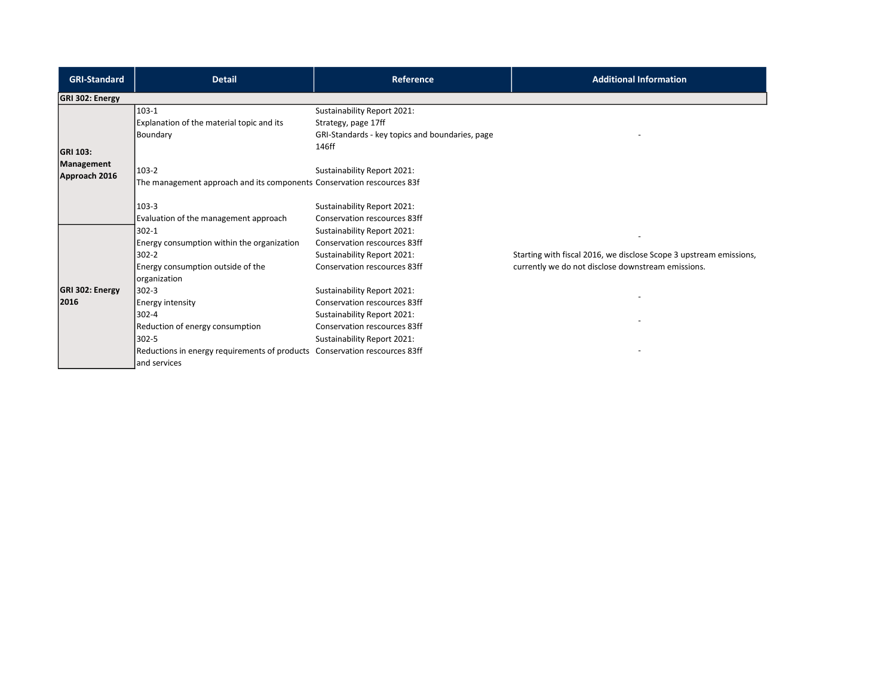| <b>GRI-Standard</b>         | <b>Detail</b>                                                                                                                                                                                            | <b>Reference</b>                                                                                                                                          | <b>Additional Information</b>                                                                                            |
|-----------------------------|----------------------------------------------------------------------------------------------------------------------------------------------------------------------------------------------------------|-----------------------------------------------------------------------------------------------------------------------------------------------------------|--------------------------------------------------------------------------------------------------------------------------|
| <b>GRI 302: Energy</b>      |                                                                                                                                                                                                          |                                                                                                                                                           |                                                                                                                          |
| <b>GRI 103:</b>             | $103-1$<br>Explanation of the material topic and its<br>Boundary                                                                                                                                         | Sustainability Report 2021:<br>Strategy, page 17ff<br>GRI-Standards - key topics and boundaries, page<br>146ff                                            |                                                                                                                          |
| Management<br>Approach 2016 | 103-2<br>The management approach and its components Conservation rescources 83f                                                                                                                          | Sustainability Report 2021:                                                                                                                               |                                                                                                                          |
|                             | $103 - 3$<br>Evaluation of the management approach<br>$302 - 1$                                                                                                                                          | Sustainability Report 2021:<br>Conservation rescources 83ff                                                                                               |                                                                                                                          |
|                             | Energy consumption within the organization<br>$302 - 2$<br>Energy consumption outside of the                                                                                                             | Sustainability Report 2021:<br>Conservation rescources 83ff<br>Sustainability Report 2021:<br>Conservation rescources 83ff                                | Starting with fiscal 2016, we disclose Scope 3 upstream emissions,<br>currently we do not disclose downstream emissions. |
| GRI 302: Energy<br>2016     | organization<br>$302 - 3$<br>Energy intensity<br>$302 - 4$<br>Reduction of energy consumption<br>$302 - 5$<br>Reductions in energy requirements of products Conservation rescources 83ff<br>and services | Sustainability Report 2021:<br>Conservation rescources 83ff<br>Sustainability Report 2021:<br>Conservation rescources 83ff<br>Sustainability Report 2021: |                                                                                                                          |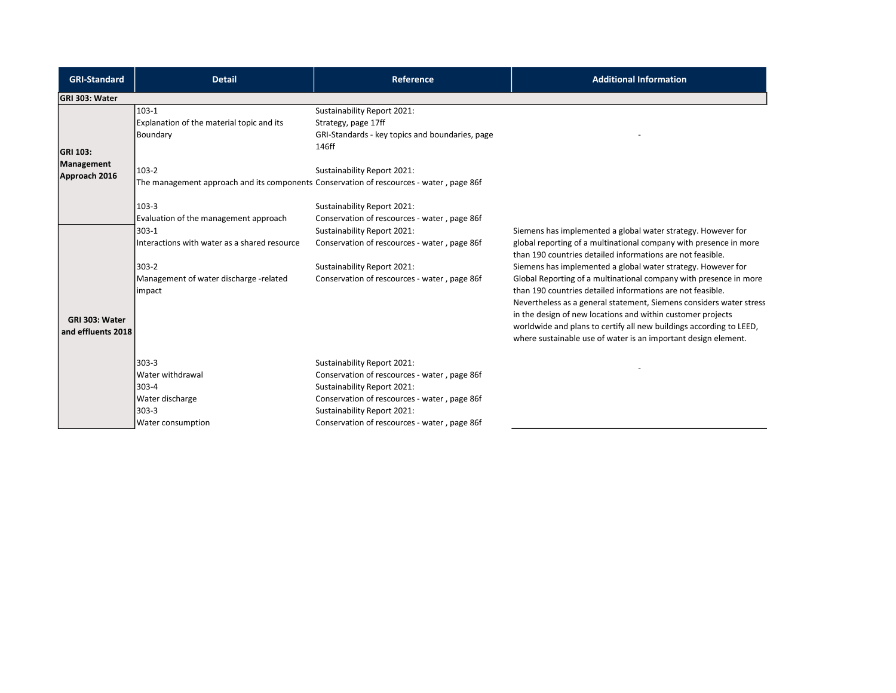| <b>GRI-Standard</b>                  | <b>Detail</b>                                                                                      | <b>Reference</b>                                                                                                                                                                                                                          | <b>Additional Information</b>                                                                                                                                                                                                                                                                                                                                                                                                                                                  |
|--------------------------------------|----------------------------------------------------------------------------------------------------|-------------------------------------------------------------------------------------------------------------------------------------------------------------------------------------------------------------------------------------------|--------------------------------------------------------------------------------------------------------------------------------------------------------------------------------------------------------------------------------------------------------------------------------------------------------------------------------------------------------------------------------------------------------------------------------------------------------------------------------|
| GRI 303: Water                       |                                                                                                    |                                                                                                                                                                                                                                           |                                                                                                                                                                                                                                                                                                                                                                                                                                                                                |
| <b>GRI 103:</b>                      | $103-1$<br>Explanation of the material topic and its<br>Boundary                                   | Sustainability Report 2021:<br>Strategy, page 17ff<br>GRI-Standards - key topics and boundaries, page<br>146ff                                                                                                                            |                                                                                                                                                                                                                                                                                                                                                                                                                                                                                |
| Management<br>Approach 2016          | $103-2$<br>The management approach and its components Conservation of rescources - water, page 86f | Sustainability Report 2021:                                                                                                                                                                                                               |                                                                                                                                                                                                                                                                                                                                                                                                                                                                                |
|                                      | $103-3$<br>Evaluation of the management approach                                                   | Sustainability Report 2021:<br>Conservation of rescources - water, page 86f                                                                                                                                                               |                                                                                                                                                                                                                                                                                                                                                                                                                                                                                |
|                                      | 303-1<br>Interactions with water as a shared resource                                              | Sustainability Report 2021:<br>Conservation of rescources - water, page 86f                                                                                                                                                               | Siemens has implemented a global water strategy. However for<br>global reporting of a multinational company with presence in more<br>than 190 countries detailed informations are not feasible.                                                                                                                                                                                                                                                                                |
| GRI 303: Water<br>and effluents 2018 | $303-2$<br>Management of water discharge -related<br>impact                                        | Sustainability Report 2021:<br>Conservation of rescources - water, page 86f                                                                                                                                                               | Siemens has implemented a global water strategy. However for<br>Global Reporting of a multinational company with presence in more<br>than 190 countries detailed informations are not feasible.<br>Nevertheless as a general statement, Siemens considers water stress<br>in the design of new locations and within customer projects<br>worldwide and plans to certify all new buildings according to LEED,<br>where sustainable use of water is an important design element. |
|                                      | $303 - 3$<br>Water withdrawal<br>303-4<br>Water discharge<br>303-3<br>Water consumption            | Sustainability Report 2021:<br>Conservation of rescources - water, page 86f<br>Sustainability Report 2021:<br>Conservation of rescources - water, page 86f<br>Sustainability Report 2021:<br>Conservation of rescources - water, page 86f |                                                                                                                                                                                                                                                                                                                                                                                                                                                                                |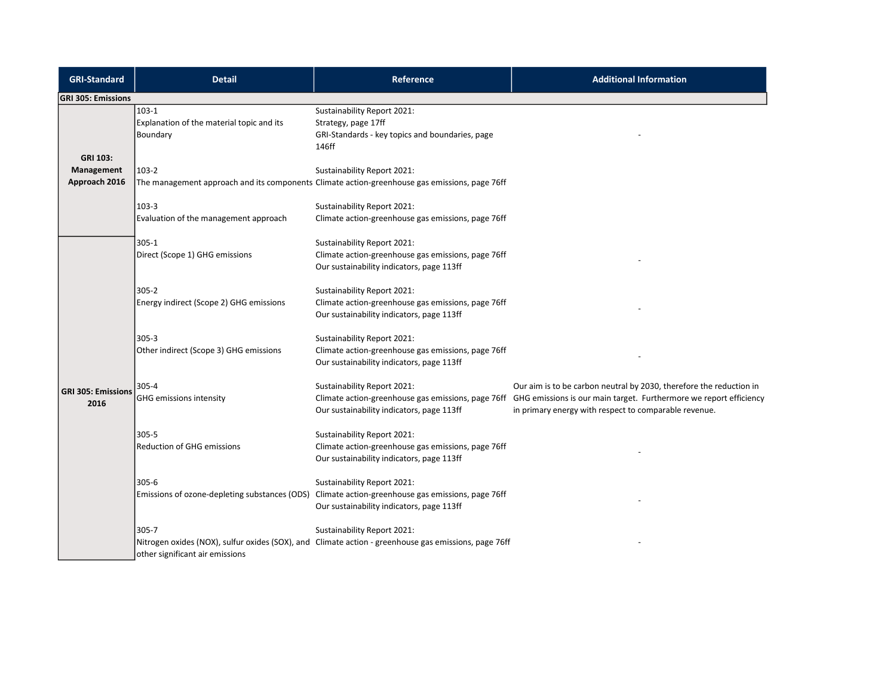| <b>GRI-Standard</b>               | <b>Detail</b>                                                    | Reference                                                                                                                           | <b>Additional Information</b>                                                                                                                                                                                                                         |
|-----------------------------------|------------------------------------------------------------------|-------------------------------------------------------------------------------------------------------------------------------------|-------------------------------------------------------------------------------------------------------------------------------------------------------------------------------------------------------------------------------------------------------|
| <b>GRI 305: Emissions</b>         |                                                                  |                                                                                                                                     |                                                                                                                                                                                                                                                       |
| <b>GRI 103:</b>                   | $103-1$<br>Explanation of the material topic and its<br>Boundary | Sustainability Report 2021:<br>Strategy, page 17ff<br>GRI-Standards - key topics and boundaries, page<br>146ff                      |                                                                                                                                                                                                                                                       |
| Management                        | $103-2$                                                          | Sustainability Report 2021:                                                                                                         |                                                                                                                                                                                                                                                       |
| Approach 2016                     |                                                                  | The management approach and its components Climate action-greenhouse gas emissions, page 76ff                                       |                                                                                                                                                                                                                                                       |
|                                   | 103-3<br>Evaluation of the management approach                   | Sustainability Report 2021:<br>Climate action-greenhouse gas emissions, page 76ff                                                   |                                                                                                                                                                                                                                                       |
|                                   | 305-1<br>Direct (Scope 1) GHG emissions                          | Sustainability Report 2021:<br>Climate action-greenhouse gas emissions, page 76ff<br>Our sustainability indicators, page 113ff      |                                                                                                                                                                                                                                                       |
|                                   | $305 - 2$<br>Energy indirect (Scope 2) GHG emissions             | Sustainability Report 2021:<br>Climate action-greenhouse gas emissions, page 76ff<br>Our sustainability indicators, page 113ff      |                                                                                                                                                                                                                                                       |
|                                   | $305 - 3$<br>Other indirect (Scope 3) GHG emissions              | Sustainability Report 2021:<br>Climate action-greenhouse gas emissions, page 76ff<br>Our sustainability indicators, page 113ff      |                                                                                                                                                                                                                                                       |
| <b>GRI 305: Emissions</b><br>2016 | 305-4<br><b>GHG emissions intensity</b>                          | Sustainability Report 2021:<br>Our sustainability indicators, page 113ff                                                            | Our aim is to be carbon neutral by 2030, therefore the reduction in<br>Climate action-greenhouse gas emissions, page 76ff GHG emissions is our main target. Furthermore we report efficiency<br>in primary energy with respect to comparable revenue. |
|                                   | $305 - 5$<br><b>Reduction of GHG emissions</b>                   | Sustainability Report 2021:<br>Climate action-greenhouse gas emissions, page 76ff<br>Our sustainability indicators, page 113ff      |                                                                                                                                                                                                                                                       |
|                                   | $305 - 6$<br>Emissions of ozone-depleting substances (ODS)       | Sustainability Report 2021:<br>Climate action-greenhouse gas emissions, page 76ff<br>Our sustainability indicators, page 113ff      |                                                                                                                                                                                                                                                       |
|                                   | $305 - 7$<br>other significant air emissions                     | Sustainability Report 2021:<br>Nitrogen oxides (NOX), sulfur oxides (SOX), and Climate action - greenhouse gas emissions, page 76ff |                                                                                                                                                                                                                                                       |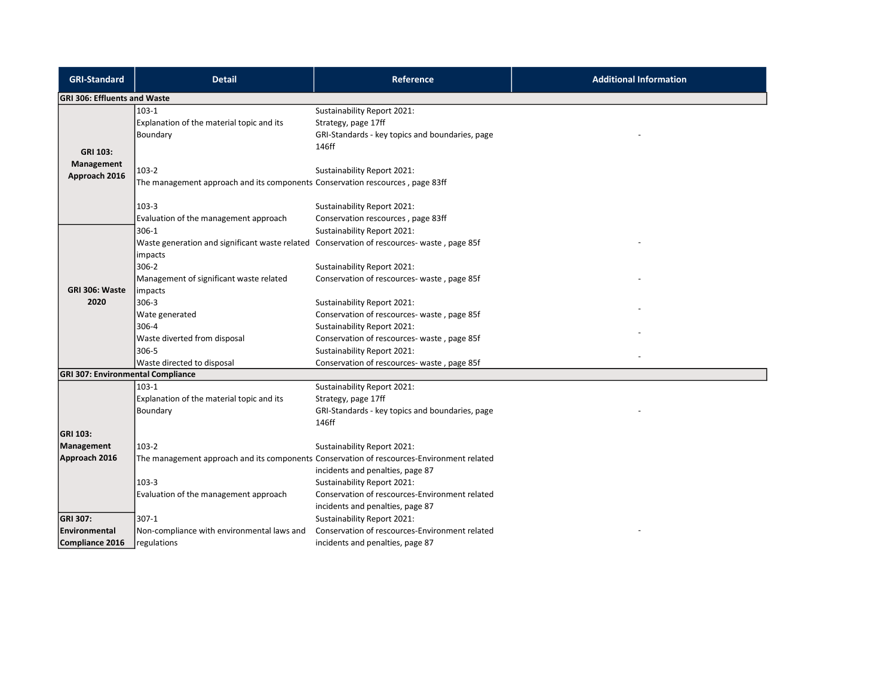| <b>GRI-Standard</b>                      | <b>Detail</b>                                                                                                  | <b>Reference</b>                                                                                                              | <b>Additional Information</b> |
|------------------------------------------|----------------------------------------------------------------------------------------------------------------|-------------------------------------------------------------------------------------------------------------------------------|-------------------------------|
| <b>GRI 306: Effluents and Waste</b>      |                                                                                                                |                                                                                                                               |                               |
| <b>GRI 103:</b>                          | $103-1$<br>Explanation of the material topic and its<br>Boundary                                               | Sustainability Report 2021:<br>Strategy, page 17ff<br>GRI-Standards - key topics and boundaries, page<br>146ff                |                               |
| Management<br>Approach 2016              | $103-2$<br>The management approach and its components Conservation rescources, page 83ff                       | Sustainability Report 2021:                                                                                                   |                               |
|                                          | $103-3$<br>Evaluation of the management approach                                                               | Sustainability Report 2021:<br>Conservation rescources, page 83ff                                                             |                               |
|                                          | 306-1<br>Waste generation and significant waste related Conservation of rescources- waste, page 85f<br>impacts | Sustainability Report 2021:                                                                                                   |                               |
| GRI 306: Waste                           | 306-2<br>Management of significant waste related<br>impacts                                                    | Sustainability Report 2021:<br>Conservation of rescources- waste, page 85f                                                    |                               |
| 2020                                     | $306 - 3$<br>Wate generated                                                                                    | Sustainability Report 2021:<br>Conservation of rescources- waste, page 85f                                                    |                               |
|                                          | 306-4<br>Waste diverted from disposal<br>306-5                                                                 | Sustainability Report 2021:<br>Conservation of rescources-waste, page 85f<br>Sustainability Report 2021:                      |                               |
|                                          | Waste directed to disposal                                                                                     | Conservation of rescources- waste, page 85f                                                                                   |                               |
| <b>GRI 307: Environmental Compliance</b> | $103-1$                                                                                                        | Sustainability Report 2021:                                                                                                   |                               |
| <b>GRI 103:</b>                          | Explanation of the material topic and its<br>Boundary                                                          | Strategy, page 17ff<br>GRI-Standards - key topics and boundaries, page<br>146ff                                               |                               |
| Management                               | 103-2                                                                                                          | Sustainability Report 2021:                                                                                                   |                               |
| Approach 2016                            |                                                                                                                | The management approach and its components Conservation of rescources-Environment related<br>incidents and penalties, page 87 |                               |
|                                          | 103-3<br>Evaluation of the management approach                                                                 | Sustainability Report 2021:<br>Conservation of rescources-Environment related<br>incidents and penalties, page 87             |                               |
| GRI 307:                                 | 307-1                                                                                                          | Sustainability Report 2021:                                                                                                   |                               |
| Environmental                            | Non-compliance with environmental laws and                                                                     | Conservation of rescources-Environment related                                                                                |                               |
| Compliance 2016                          | regulations                                                                                                    | incidents and penalties, page 87                                                                                              |                               |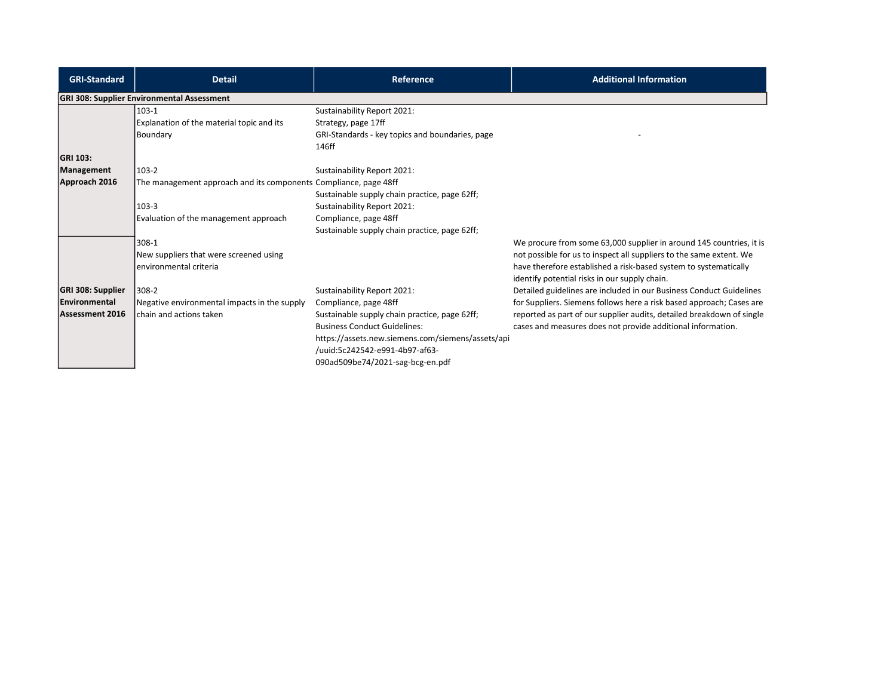| <b>GRI-Standard</b> | <b>Detail</b>                                                    | <b>Reference</b>                                  | <b>Additional Information</b>                                         |
|---------------------|------------------------------------------------------------------|---------------------------------------------------|-----------------------------------------------------------------------|
|                     | <b>GRI 308: Supplier Environmental Assessment</b>                |                                                   |                                                                       |
|                     | 103-1                                                            | Sustainability Report 2021:                       |                                                                       |
|                     | Explanation of the material topic and its                        | Strategy, page 17ff                               |                                                                       |
|                     | Boundary                                                         | GRI-Standards - key topics and boundaries, page   |                                                                       |
|                     |                                                                  | 146ff                                             |                                                                       |
| GRI 103:            |                                                                  |                                                   |                                                                       |
| Management          | 103-2                                                            | Sustainability Report 2021:                       |                                                                       |
| Approach 2016       | The management approach and its components Compliance, page 48ff |                                                   |                                                                       |
|                     |                                                                  | Sustainable supply chain practice, page 62ff;     |                                                                       |
|                     | $103-3$                                                          | Sustainability Report 2021:                       |                                                                       |
|                     | Evaluation of the management approach                            | Compliance, page 48ff                             |                                                                       |
|                     |                                                                  | Sustainable supply chain practice, page 62ff;     |                                                                       |
|                     | 308-1                                                            |                                                   | We procure from some 63,000 supplier in around 145 countries, it is   |
|                     | New suppliers that were screened using                           |                                                   | not possible for us to inspect all suppliers to the same extent. We   |
|                     | environmental criteria                                           |                                                   | have therefore established a risk-based system to systematically      |
|                     |                                                                  |                                                   | identify potential risks in our supply chain.                         |
| GRI 308: Supplier   | 308-2                                                            | Sustainability Report 2021:                       | Detailed guidelines are included in our Business Conduct Guidelines   |
| Environmental       | Negative environmental impacts in the supply                     | Compliance, page 48ff                             | for Suppliers. Siemens follows here a risk based approach; Cases are  |
| Assessment 2016     | chain and actions taken                                          | Sustainable supply chain practice, page 62ff;     | reported as part of our supplier audits, detailed breakdown of single |
|                     |                                                                  | <b>Business Conduct Guidelines:</b>               | cases and measures does not provide additional information.           |
|                     |                                                                  | https://assets.new.siemens.com/siemens/assets/api |                                                                       |
|                     |                                                                  | /uuid:5c242542-e991-4b97-af63-                    |                                                                       |
|                     |                                                                  | 090ad509be74/2021-sag-bcg-en.pdf                  |                                                                       |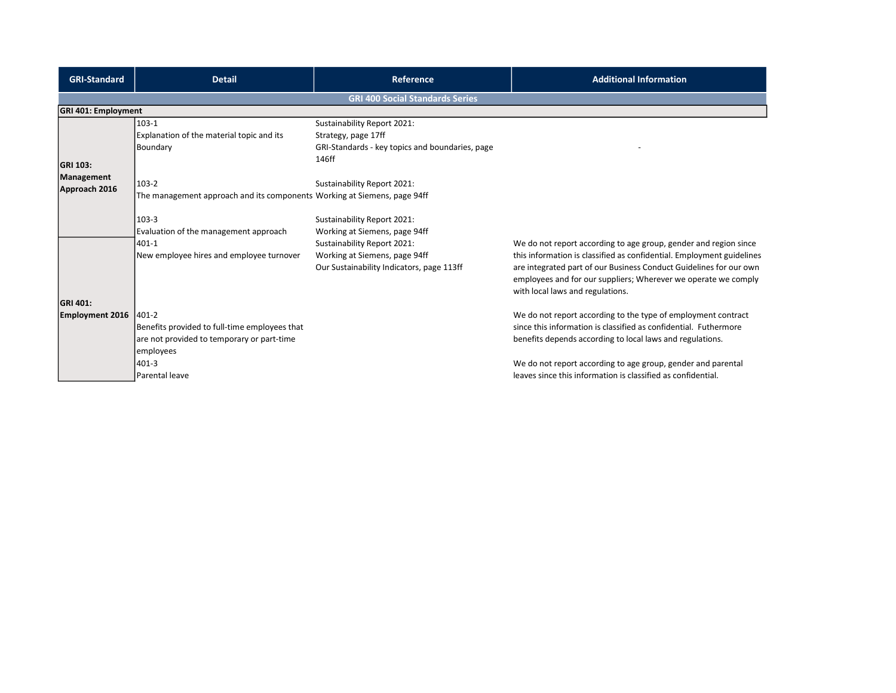| <b>GRI-Standard</b>                | <b>Detail</b>                                                                                                                                 | Reference                                                                                                                                                                 | <b>Additional Information</b>                                                                                                                                                                                                                                                                                                  |
|------------------------------------|-----------------------------------------------------------------------------------------------------------------------------------------------|---------------------------------------------------------------------------------------------------------------------------------------------------------------------------|--------------------------------------------------------------------------------------------------------------------------------------------------------------------------------------------------------------------------------------------------------------------------------------------------------------------------------|
|                                    |                                                                                                                                               | <b>GRI 400 Social Standards Series</b>                                                                                                                                    |                                                                                                                                                                                                                                                                                                                                |
| <b>GRI 401: Employment</b>         |                                                                                                                                               |                                                                                                                                                                           |                                                                                                                                                                                                                                                                                                                                |
| <b>GRI 103:</b>                    | $103-1$<br>Explanation of the material topic and its<br>Boundary                                                                              | Sustainability Report 2021:<br>Strategy, page 17ff<br>GRI-Standards - key topics and boundaries, page<br>146ff                                                            |                                                                                                                                                                                                                                                                                                                                |
| Management<br>Approach 2016        | 103-2<br>The management approach and its components Working at Siemens, page 94ff                                                             | Sustainability Report 2021:                                                                                                                                               |                                                                                                                                                                                                                                                                                                                                |
|                                    | 103-3<br>Evaluation of the management approach<br>401-1<br>New employee hires and employee turnover                                           | Sustainability Report 2021:<br>Working at Siemens, page 94ff<br>Sustainability Report 2021:<br>Working at Siemens, page 94ff<br>Our Sustainability Indicators, page 113ff | We do not report according to age group, gender and region since<br>this information is classified as confidential. Employment guidelines<br>are integrated part of our Business Conduct Guidelines for our own<br>employees and for our suppliers; Wherever we operate we comply<br>with local laws and regulations.          |
| GRI 401:<br><b>Employment 2016</b> | 1401-2<br>Benefits provided to full-time employees that<br>are not provided to temporary or part-time<br>employees<br>401-3<br>Parental leave |                                                                                                                                                                           | We do not report according to the type of employment contract<br>since this information is classified as confidential. Futhermore<br>benefits depends according to local laws and regulations.<br>We do not report according to age group, gender and parental<br>leaves since this information is classified as confidential. |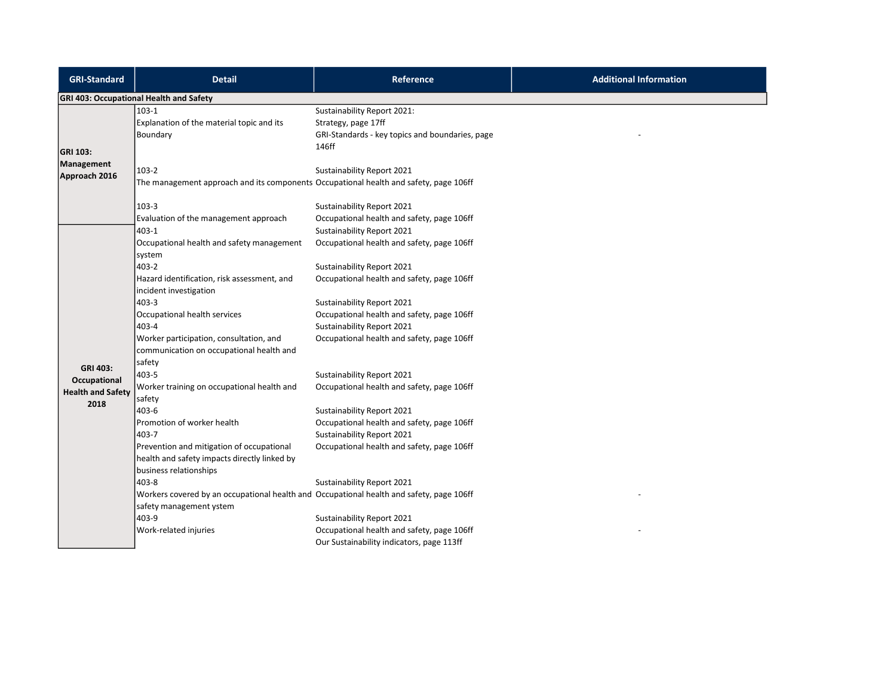| <b>GRI-Standard</b>                              | <b>Detail</b>                                                                                                                | <b>Reference</b>                                                                                                      | <b>Additional Information</b> |
|--------------------------------------------------|------------------------------------------------------------------------------------------------------------------------------|-----------------------------------------------------------------------------------------------------------------------|-------------------------------|
|                                                  | <b>GRI 403: Occupational Health and Safety</b>                                                                               |                                                                                                                       |                               |
| <b>GRI 103:</b>                                  | $103-1$<br>Explanation of the material topic and its<br>Boundary                                                             | Sustainability Report 2021:<br>Strategy, page 17ff<br>GRI-Standards - key topics and boundaries, page<br>146ff        |                               |
| Management<br>Approach 2016                      | $103-2$<br>The management approach and its components Occupational health and safety, page 106ff                             | Sustainability Report 2021                                                                                            |                               |
|                                                  | $103 - 3$<br>Evaluation of the management approach                                                                           | Sustainability Report 2021<br>Occupational health and safety, page 106ff                                              |                               |
|                                                  | $403 - 1$<br>Occupational health and safety management<br>system                                                             | Sustainability Report 2021<br>Occupational health and safety, page 106ff                                              |                               |
|                                                  | 403-2<br>Hazard identification, risk assessment, and<br>incident investigation                                               | Sustainability Report 2021<br>Occupational health and safety, page 106ff                                              |                               |
|                                                  | $403 - 3$<br>Occupational health services<br>$403 - 4$                                                                       | Sustainability Report 2021<br>Occupational health and safety, page 106ff<br>Sustainability Report 2021                |                               |
| <b>GRI 403:</b>                                  | Worker participation, consultation, and<br>communication on occupational health and<br>safety                                | Occupational health and safety, page 106ff                                                                            |                               |
| Occupational<br><b>Health and Safety</b><br>2018 | $403 - 5$<br>Worker training on occupational health and<br>safety                                                            | Sustainability Report 2021<br>Occupational health and safety, page 106ff                                              |                               |
|                                                  | 403-6<br>Promotion of worker health<br>403-7                                                                                 | Sustainability Report 2021<br>Occupational health and safety, page 106ff<br>Sustainability Report 2021                |                               |
|                                                  | Prevention and mitigation of occupational<br>health and safety impacts directly linked by<br>business relationships          | Occupational health and safety, page 106ff                                                                            |                               |
|                                                  | 403-8<br>Workers covered by an occupational health and Occupational health and safety, page 106ff<br>safety management ystem | Sustainability Report 2021                                                                                            |                               |
|                                                  | 403-9<br>Work-related injuries                                                                                               | Sustainability Report 2021<br>Occupational health and safety, page 106ff<br>Our Sustainability indicators, page 113ff |                               |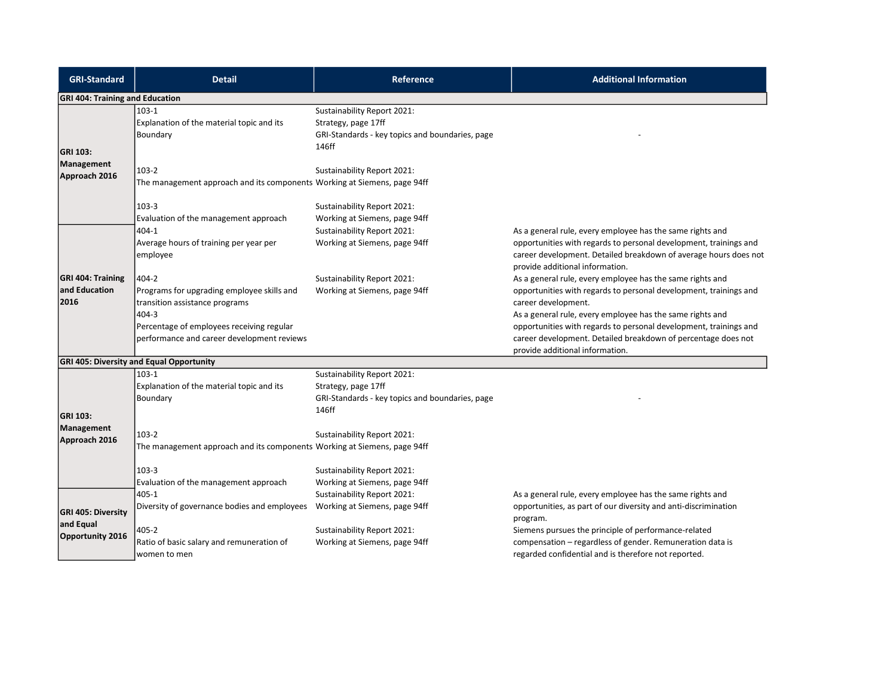| <b>GRI-Standard</b>                                        | <b>Detail</b>                                                                                                                                                                             | Reference                                                                                                                                                     | <b>Additional Information</b>                                                                                                                                                                                                                                                                                                                                                               |
|------------------------------------------------------------|-------------------------------------------------------------------------------------------------------------------------------------------------------------------------------------------|---------------------------------------------------------------------------------------------------------------------------------------------------------------|---------------------------------------------------------------------------------------------------------------------------------------------------------------------------------------------------------------------------------------------------------------------------------------------------------------------------------------------------------------------------------------------|
| <b>GRI 404: Training and Education</b>                     |                                                                                                                                                                                           |                                                                                                                                                               |                                                                                                                                                                                                                                                                                                                                                                                             |
| <b>GRI 103:</b><br>Management<br>Approach 2016             | $103 - 1$<br>Explanation of the material topic and its<br>Boundary                                                                                                                        | Sustainability Report 2021:<br>Strategy, page 17ff<br>GRI-Standards - key topics and boundaries, page<br>146ff                                                |                                                                                                                                                                                                                                                                                                                                                                                             |
|                                                            | 103-2<br>The management approach and its components Working at Siemens, page 94ff                                                                                                         | Sustainability Report 2021:                                                                                                                                   |                                                                                                                                                                                                                                                                                                                                                                                             |
|                                                            | 103-3<br>Evaluation of the management approach<br>404-1                                                                                                                                   | Sustainability Report 2021:<br>Working at Siemens, page 94ff<br>Sustainability Report 2021:                                                                   | As a general rule, every employee has the same rights and                                                                                                                                                                                                                                                                                                                                   |
|                                                            | Average hours of training per year per<br>employee                                                                                                                                        | Working at Siemens, page 94ff                                                                                                                                 | opportunities with regards to personal development, trainings and<br>career development. Detailed breakdown of average hours does not<br>provide additional information.                                                                                                                                                                                                                    |
| <b>GRI 404: Training</b><br>and Education<br>2016          | 404-2<br>Programs for upgrading employee skills and<br>transition assistance programs<br>404-3<br>Percentage of employees receiving regular<br>performance and career development reviews | Sustainability Report 2021:<br>Working at Siemens, page 94ff                                                                                                  | As a general rule, every employee has the same rights and<br>opportunities with regards to personal development, trainings and<br>career development.<br>As a general rule, every employee has the same rights and<br>opportunities with regards to personal development, trainings and<br>career development. Detailed breakdown of percentage does not<br>provide additional information. |
|                                                            | <b>GRI 405: Diversity and Equal Opportunity</b>                                                                                                                                           |                                                                                                                                                               |                                                                                                                                                                                                                                                                                                                                                                                             |
| <b>GRI 103:</b>                                            | $103-1$<br>Explanation of the material topic and its<br>Boundary                                                                                                                          | Sustainability Report 2021:<br>Strategy, page 17ff<br>GRI-Standards - key topics and boundaries, page<br>146ff                                                |                                                                                                                                                                                                                                                                                                                                                                                             |
| Management<br>Approach 2016                                | $103-2$<br>The management approach and its components Working at Siemens, page 94ff<br>$103-3$                                                                                            | Sustainability Report 2021:<br>Sustainability Report 2021:                                                                                                    |                                                                                                                                                                                                                                                                                                                                                                                             |
| <b>GRI 405: Diversity</b><br>and Equal<br>Opportunity 2016 | Evaluation of the management approach<br>405-1<br>Diversity of governance bodies and employees<br>405-2<br>Ratio of basic salary and remuneration of<br>women to men                      | Working at Siemens, page 94ff<br>Sustainability Report 2021:<br>Working at Siemens, page 94ff<br>Sustainability Report 2021:<br>Working at Siemens, page 94ff | As a general rule, every employee has the same rights and<br>opportunities, as part of our diversity and anti-discrimination<br>program.<br>Siemens pursues the principle of performance-related<br>compensation - regardless of gender. Remuneration data is<br>regarded confidential and is therefore not reported.                                                                       |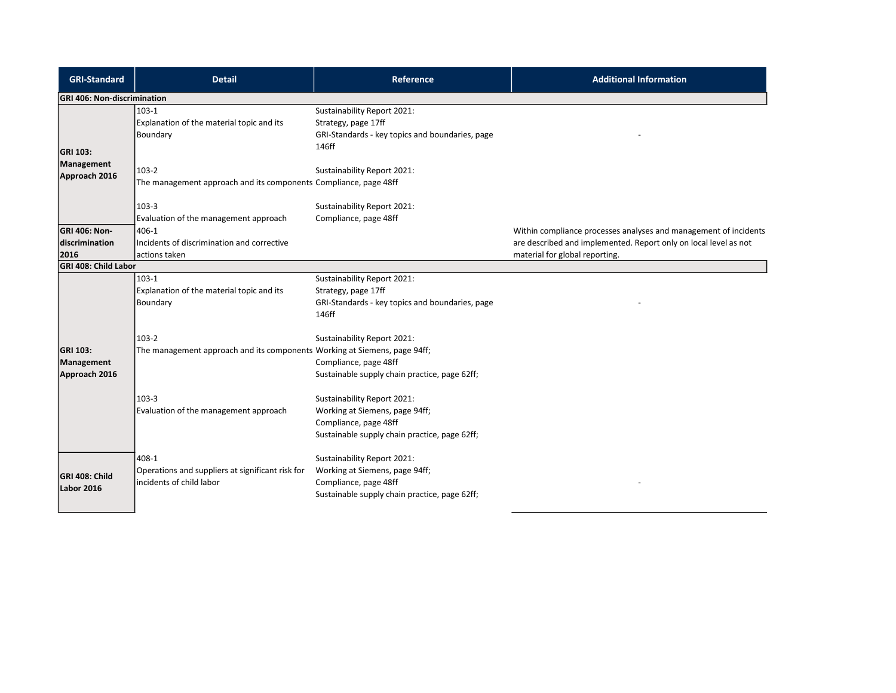| <b>GRI-Standard</b>                            | <b>Detail</b>                                                                         | <b>Reference</b>                                                                                                                              | <b>Additional Information</b>                                                                                                                                          |
|------------------------------------------------|---------------------------------------------------------------------------------------|-----------------------------------------------------------------------------------------------------------------------------------------------|------------------------------------------------------------------------------------------------------------------------------------------------------------------------|
| <b>GRI 406: Non-discrimination</b>             |                                                                                       |                                                                                                                                               |                                                                                                                                                                        |
| <b>GRI 103:</b>                                | $103-1$<br>Explanation of the material topic and its<br>Boundary                      | Sustainability Report 2021:<br>Strategy, page 17ff<br>GRI-Standards - key topics and boundaries, page<br>146ff                                |                                                                                                                                                                        |
| Management<br>Approach 2016                    | $103-2$<br>The management approach and its components Compliance, page 48ff           | Sustainability Report 2021:                                                                                                                   |                                                                                                                                                                        |
|                                                | $103-3$<br>Evaluation of the management approach                                      | Sustainability Report 2021:<br>Compliance, page 48ff                                                                                          |                                                                                                                                                                        |
| <b>GRI 406: Non-</b><br>discrimination<br>2016 | 406-1<br>Incidents of discrimination and corrective<br>actions taken                  |                                                                                                                                               | Within compliance processes analyses and management of incidents<br>are described and implemented. Report only on local level as not<br>material for global reporting. |
| GRI 408: Child Labor                           |                                                                                       |                                                                                                                                               |                                                                                                                                                                        |
|                                                | $103-1$<br>Explanation of the material topic and its<br>Boundary<br>$103-2$           | Sustainability Report 2021:<br>Strategy, page 17ff<br>GRI-Standards - key topics and boundaries, page<br>146ff<br>Sustainability Report 2021: |                                                                                                                                                                        |
| <b>GRI 103:</b><br>Management<br>Approach 2016 | The management approach and its components Working at Siemens, page 94ff;             | Compliance, page 48ff<br>Sustainable supply chain practice, page 62ff;                                                                        |                                                                                                                                                                        |
|                                                | 103-3<br>Evaluation of the management approach                                        | Sustainability Report 2021:<br>Working at Siemens, page 94ff;<br>Compliance, page 48ff<br>Sustainable supply chain practice, page 62ff;       |                                                                                                                                                                        |
| <b>GRI 408: Child</b><br>Labor 2016            | 408-1<br>Operations and suppliers at significant risk for<br>incidents of child labor | Sustainability Report 2021:<br>Working at Siemens, page 94ff;<br>Compliance, page 48ff<br>Sustainable supply chain practice, page 62ff;       |                                                                                                                                                                        |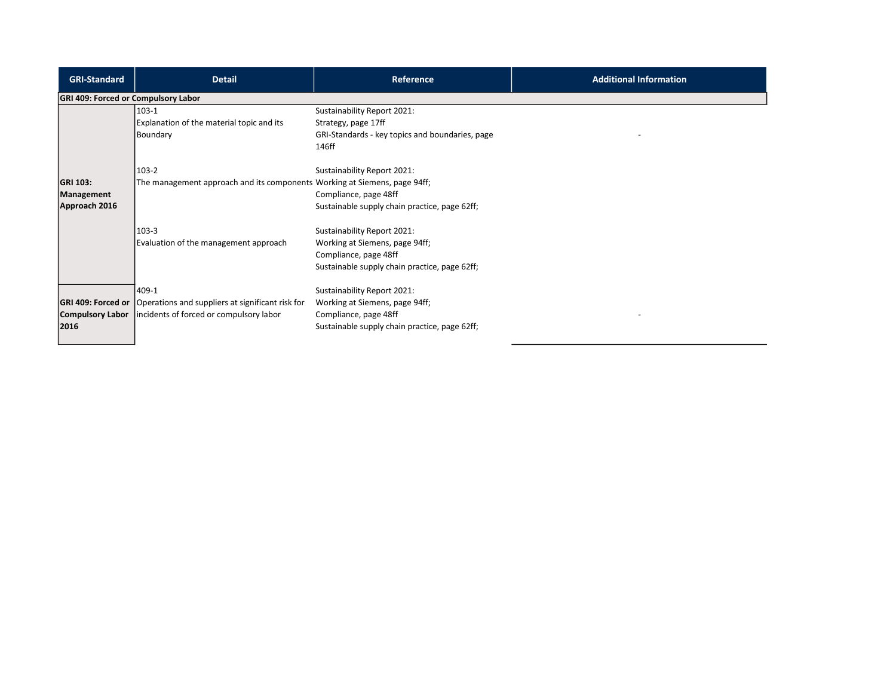| <b>GRI-Standard</b>                            | <b>Detail</b>                                                                                                                   | <b>Reference</b>                                                                                                                        | <b>Additional Information</b> |
|------------------------------------------------|---------------------------------------------------------------------------------------------------------------------------------|-----------------------------------------------------------------------------------------------------------------------------------------|-------------------------------|
| GRI 409: Forced or Compulsory Labor            |                                                                                                                                 |                                                                                                                                         |                               |
|                                                | 103-1<br>Explanation of the material topic and its<br>Boundary                                                                  | Sustainability Report 2021:<br>Strategy, page 17ff<br>GRI-Standards - key topics and boundaries, page<br>146ff                          |                               |
| <b>GRI 103:</b><br>Management<br>Approach 2016 | 103-2<br>The management approach and its components Working at Siemens, page 94ff;                                              | Sustainability Report 2021:<br>Compliance, page 48ff<br>Sustainable supply chain practice, page 62ff;                                   |                               |
|                                                | 103-3<br>Evaluation of the management approach                                                                                  | Sustainability Report 2021:<br>Working at Siemens, page 94ff;<br>Compliance, page 48ff<br>Sustainable supply chain practice, page 62ff; |                               |
| Compulsory Labor<br>2016                       | 409-1<br><b>GRI 409: Forced or O</b> perations and suppliers at significant risk for<br>incidents of forced or compulsory labor | Sustainability Report 2021:<br>Working at Siemens, page 94ff;<br>Compliance, page 48ff<br>Sustainable supply chain practice, page 62ff; |                               |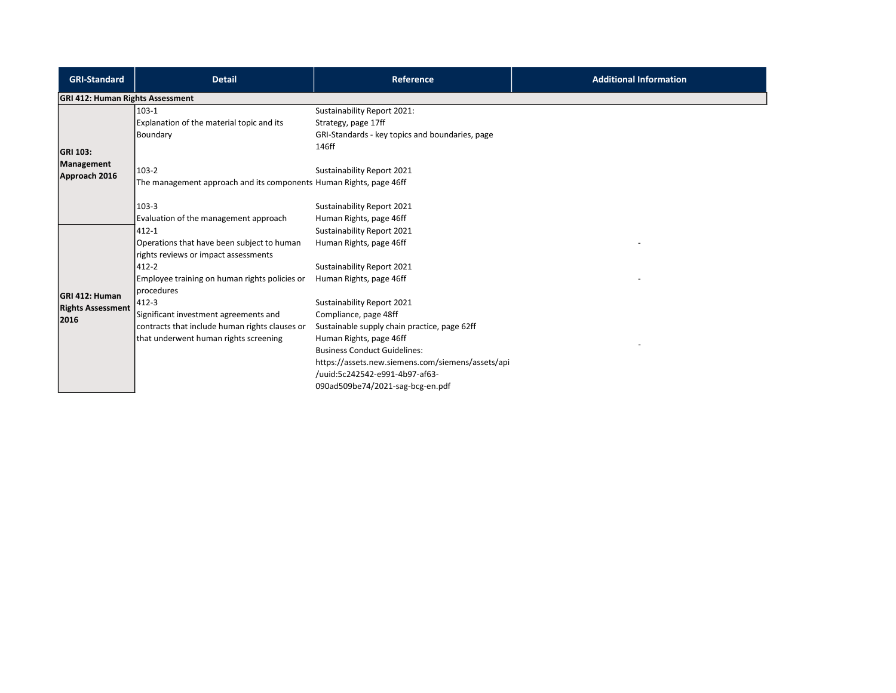| <b>GRI-Standard</b>                                | <b>Detail</b>                                                                                                                                                                | Reference                                                                                                                                                                                                                                                                                        | <b>Additional Information</b> |
|----------------------------------------------------|------------------------------------------------------------------------------------------------------------------------------------------------------------------------------|--------------------------------------------------------------------------------------------------------------------------------------------------------------------------------------------------------------------------------------------------------------------------------------------------|-------------------------------|
| <b>GRI 412: Human Rights Assessment</b>            |                                                                                                                                                                              |                                                                                                                                                                                                                                                                                                  |                               |
| <b>GRI 103:</b><br>Management                      | 103-1<br>Explanation of the material topic and its<br>Boundary<br>103-2                                                                                                      | Sustainability Report 2021:<br>Strategy, page 17ff<br>GRI-Standards - key topics and boundaries, page<br>146ff<br>Sustainability Report 2021                                                                                                                                                     |                               |
| Approach 2016                                      | The management approach and its components Human Rights, page 46ff<br>103-3<br>Evaluation of the management approach                                                         | Sustainability Report 2021<br>Human Rights, page 46ff                                                                                                                                                                                                                                            |                               |
|                                                    | 412-1<br>Operations that have been subject to human<br>rights reviews or impact assessments<br>412-2<br>Employee training on human rights policies or<br><b>I</b> procedures | Sustainability Report 2021<br>Human Rights, page 46ff<br>Sustainability Report 2021<br>Human Rights, page 46ff                                                                                                                                                                                   |                               |
| GRI 412: Human<br><b>Rights Assessment</b><br>2016 | 412-3<br>Significant investment agreements and<br>contracts that include human rights clauses or<br>that underwent human rights screening                                    | Sustainability Report 2021<br>Compliance, page 48ff<br>Sustainable supply chain practice, page 62ff<br>Human Rights, page 46ff<br><b>Business Conduct Guidelines:</b><br>https://assets.new.siemens.com/siemens/assets/api<br>/uuid:5c242542-e991-4b97-af63-<br>090ad509be74/2021-sag-bcg-en.pdf |                               |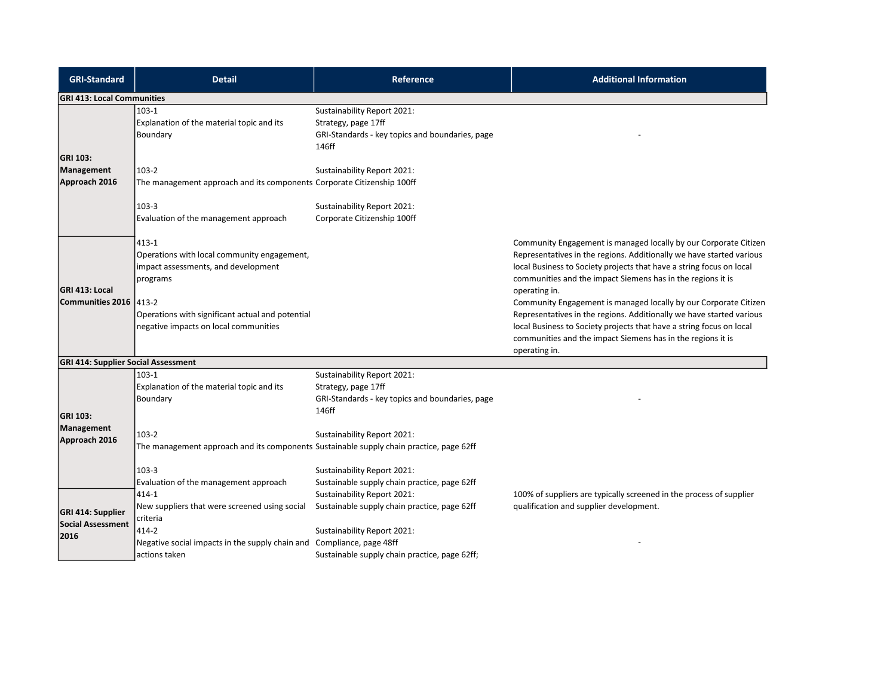| <b>GRI-Standard</b>                           | <b>Detail</b>                                                                                                                                                                                                  | Reference                                                                                                      | <b>Additional Information</b>                                                                                                                                                                                                                                                                                                                                                                                                                                                                                                                                                                        |
|-----------------------------------------------|----------------------------------------------------------------------------------------------------------------------------------------------------------------------------------------------------------------|----------------------------------------------------------------------------------------------------------------|------------------------------------------------------------------------------------------------------------------------------------------------------------------------------------------------------------------------------------------------------------------------------------------------------------------------------------------------------------------------------------------------------------------------------------------------------------------------------------------------------------------------------------------------------------------------------------------------------|
| <b>GRI 413: Local Communities</b>             |                                                                                                                                                                                                                |                                                                                                                |                                                                                                                                                                                                                                                                                                                                                                                                                                                                                                                                                                                                      |
|                                               | $103-1$<br>Explanation of the material topic and its<br>Boundary                                                                                                                                               | Sustainability Report 2021:<br>Strategy, page 17ff<br>GRI-Standards - key topics and boundaries, page<br>146ff |                                                                                                                                                                                                                                                                                                                                                                                                                                                                                                                                                                                                      |
| GRI 103:<br>Management<br>Approach 2016       | 103-2<br>The management approach and its components Corporate Citizenship 100ff                                                                                                                                | Sustainability Report 2021:                                                                                    |                                                                                                                                                                                                                                                                                                                                                                                                                                                                                                                                                                                                      |
|                                               | $103 - 3$<br>Evaluation of the management approach                                                                                                                                                             | Sustainability Report 2021:<br>Corporate Citizenship 100ff                                                     |                                                                                                                                                                                                                                                                                                                                                                                                                                                                                                                                                                                                      |
| <b>GRI 413: Local</b><br>Communities 2016     | 413-1<br>Operations with local community engagement,<br>impact assessments, and development<br>programs<br>1413-2<br>Operations with significant actual and potential<br>negative impacts on local communities |                                                                                                                | Community Engagement is managed locally by our Corporate Citizen<br>Representatives in the regions. Additionally we have started various<br>local Business to Society projects that have a string focus on local<br>communities and the impact Siemens has in the regions it is<br>operating in.<br>Community Engagement is managed locally by our Corporate Citizen<br>Representatives in the regions. Additionally we have started various<br>local Business to Society projects that have a string focus on local<br>communities and the impact Siemens has in the regions it is<br>operating in. |
| <b>GRI 414: Supplier Social Assessment</b>    |                                                                                                                                                                                                                |                                                                                                                |                                                                                                                                                                                                                                                                                                                                                                                                                                                                                                                                                                                                      |
| GRI 103:<br>Management                        | $103-1$<br>Explanation of the material topic and its<br>Boundary                                                                                                                                               | Sustainability Report 2021:<br>Strategy, page 17ff<br>GRI-Standards - key topics and boundaries, page<br>146ff |                                                                                                                                                                                                                                                                                                                                                                                                                                                                                                                                                                                                      |
| Approach 2016                                 | $103-2$<br>The management approach and its components Sustainable supply chain practice, page 62ff                                                                                                             | Sustainability Report 2021:                                                                                    |                                                                                                                                                                                                                                                                                                                                                                                                                                                                                                                                                                                                      |
|                                               | $103-3$<br>Evaluation of the management approach<br>414-1                                                                                                                                                      | Sustainability Report 2021:<br>Sustainable supply chain practice, page 62ff<br>Sustainability Report 2021:     |                                                                                                                                                                                                                                                                                                                                                                                                                                                                                                                                                                                                      |
| GRI 414: Supplier<br><b>Social Assessment</b> | New suppliers that were screened using social<br>criteria                                                                                                                                                      | Sustainable supply chain practice, page 62ff                                                                   | 100% of suppliers are typically screened in the process of supplier<br>qualification and supplier development.                                                                                                                                                                                                                                                                                                                                                                                                                                                                                       |
| 2016                                          | 414-2<br>Negative social impacts in the supply chain and Compliance, page 48ff<br>actions taken                                                                                                                | Sustainability Report 2021:<br>Sustainable supply chain practice, page 62ff;                                   |                                                                                                                                                                                                                                                                                                                                                                                                                                                                                                                                                                                                      |